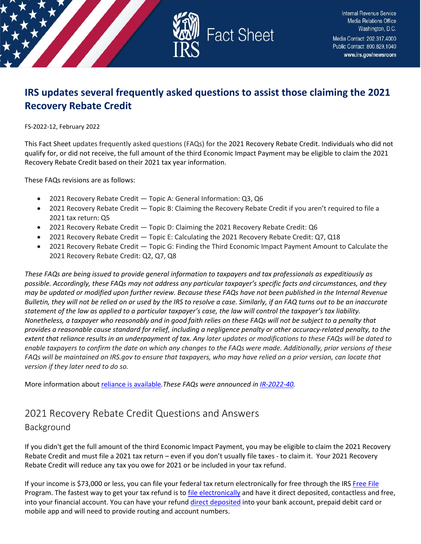

# **IRS updates several frequently asked questions to assist those claiming the 2021 Recovery Rebate Credit**

#### FS-2022-12, February 2022

This Fact Sheet updates frequently asked questions (FAQs) for the 2021 Recovery Rebate Credit. Individuals who did not qualify for, or did not receive, the full amount of the third Economic Impact Payment may be eligible to claim the 2021 Recovery Rebate Credit based on their 2021 tax year information.

These FAQs revisions are as follows:

- 2021 Recovery Rebate Credit Topic A: General Information: Q3, Q6
- 2021 Recovery Rebate Credit Topic B: Claiming the Recovery Rebate Credit if you aren't required to file a 2021 tax return: Q5
- 2021 Recovery Rebate Credit Topic D: Claiming the 2021 Recovery Rebate Credit: Q6
- 2021 Recovery Rebate Credit Topic E: Calculating the 2021 Recovery Rebate Credit: Q7, Q18
- 2021 Recovery Rebate Credit Topic G: Finding the Third Economic Impact Payment Amount to Calculate the 2021 Recovery Rebate Credit: Q2, Q7, Q8

*These FAQs are being issued to provide general information to taxpayers and tax professionals as expeditiously as possible. Accordingly, these FAQs may not address any particular taxpayer's specific facts and circumstances, and they may be updated or modified upon further review. Because these FAQs have not been published in the Internal Revenue Bulletin, they will not be relied on or used by the IRS to resolve a case. Similarly, if an FAQ turns out to be an inaccurate statement of the law as applied to a particular taxpayer's case, the law will control the taxpayer's tax liability. Nonetheless, a taxpayer who reasonably and in good faith relies on these FAQs will not be subject to a penalty that provides a reasonable cause standard for relief, including a negligence penalty or other accuracy-related penalty, to the extent that reliance results in an underpayment of tax. Any later updates or modifications to these FAQs will be dated to enable taxpayers to confirm the date on which any changes to the FAQs were made. Additionally, prior versions of these FAQs will be maintained on IRS.gov to ensure that taxpayers, who may have relied on a prior version, can locate that version if they later need to do so.*

More information about [reliance is available](https://www.irs.gov/newsroom/general-overview-of-taxpayer-reliance-on-guidance-published-in-the-internal-revenue-bulletin-and-faqs)*.These FAQs were announced in [IR-2022-40.](https://www.irs.gov/newsroom/irs-provides-additional-updates-to-frequently-asked-questions-and-answers-for-2021-recovery-rebate-credit)* 

# 2021 Recovery Rebate Credit Questions and Answers

Background

If you didn't get the full amount of the third Economic Impact Payment, you may be eligible to claim the 2021 Recovery Rebate Credit and must file a 2021 tax return – even if you don't usually file taxes - to claim it. Your 2021 Recovery Rebate Credit will reduce any tax you owe for 2021 or be included in your tax refund.

If your income is \$73,000 or less, you can file your federal tax return electronically for free through the IRS [Free File](https://www.irs.gov/filing/free-file-do-your-federal-taxes-for-free) Program. The fastest way to get your tax refund is to *file electronically* and have it direct deposited, contactless and free, into your financial account. You can have your refund [direct deposited](https://www.irs.gov/refunds/get-your-refund-faster-tell-irs-to-direct-deposit-your-refund-to-one-two-or-three-accounts) into your bank account, prepaid debit card or mobile app and will need to provide routing and account numbers.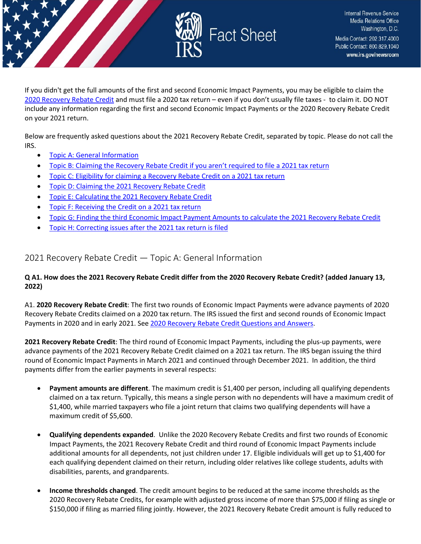

If you didn't get the full amounts of the first and second Economic Impact Payments, you may be eligible to claim the [2020 Recovery Rebate Credit](https://www.irs.gov/newsroom/recovery-rebate-credit) and must file a 2020 tax return – even if you don't usually file taxes - to claim it. DO NOT include any information regarding the first and second Economic Impact Payments or the 2020 Recovery Rebate Credit on your 2021 return.

Below are frequently asked questions about the 2021 Recovery Rebate Credit, separated by topic. Please do not call the IRS.

- [Topic A: General Information](#page-1-0)
- [Topic B: Claiming the Recovery Rebate Credit if you aren't required to file a 2021 tax return](#page-4-0)
- [Topic C: Eligibility for claiming a Recovery Rebate Credit on a 2021 tax return](#page-8-0)
- [Topic D: Claiming the 2021 Recovery Rebate Credit](#page-13-0)
- [Topic E: Calculating the 2021 Recovery Rebate Credit](#page-16-0)
- [Topic F: Receiving the Credit on a 2021 tax return](#page-22-0)
- [Topic G: Finding the third Economic Impact Payment Amounts to calculate the 2021 Recovery Rebate Credit](#page-27-0)
- [Topic H: Correcting issues after the 2021 tax return is filed](#page-30-0)

<span id="page-1-0"></span>2021 Recovery Rebate Credit — Topic A: General Information

## **Q A1. How does the 2021 Recovery Rebate Credit differ from the 2020 Recovery Rebate Credit? (added January 13, 2022)**

A1. **2020 Recovery Rebate Credit**: The first two rounds of Economic Impact Payments were advance payments of 2020 Recovery Rebate Credits claimed on a 2020 tax return. The IRS issued the first and second rounds of Economic Impact Payments in 2020 and in early 2021. Se[e 2020 Recovery Rebate Credit Questions and Answers.](https://www.irs.gov/newsroom/recovery-rebate-credit-frequently-asked-questions)

**2021 Recovery Rebate Credit**: The third round of Economic Impact Payments, including the plus-up payments, were advance payments of the 2021 Recovery Rebate Credit claimed on a 2021 tax return. The IRS began issuing the third round of Economic Impact Payments in March 2021 and continued through December 2021. In addition, the third payments differ from the earlier payments in several respects:

- **Payment amounts are different**. The maximum credit is \$1,400 per person, including all qualifying dependents claimed on a tax return. Typically, this means a single person with no dependents will have a maximum credit of \$1,400, while married taxpayers who file a joint return that claims two qualifying dependents will have a maximum credit of \$5,600.
- **Qualifying dependents expanded**. Unlike the 2020 Recovery Rebate Credits and first two rounds of Economic Impact Payments, the 2021 Recovery Rebate Credit and third round of Economic Impact Payments include additional amounts for all dependents, not just children under 17. Eligible individuals will get up to \$1,400 for each qualifying dependent claimed on their return, including older relatives like college students, adults with disabilities, parents, and grandparents.
- **Income thresholds changed**. The credit amount begins to be reduced at the same income thresholds as the 2020 Recovery Rebate Credits, for example with adjusted gross income of more than \$75,000 if filing as single or \$150,000 if filing as married filing jointly. However, the 2021 Recovery Rebate Credit amount is fully reduced to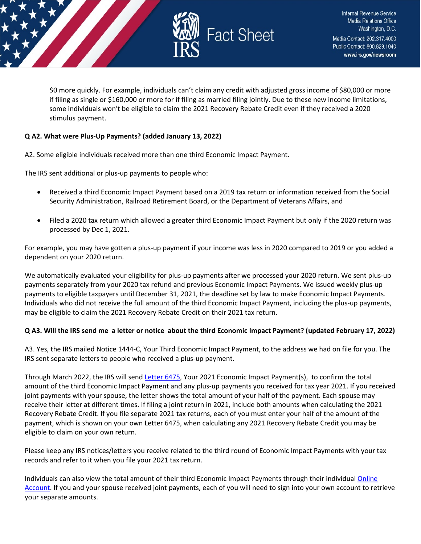

\$0 more quickly. For example, individuals can't claim any credit with adjusted gross income of \$80,000 or more if filing as single or \$160,000 or more for if filing as married filing jointly. Due to these new income limitations, some individuals won't be eligible to claim the 2021 Recovery Rebate Credit even if they received a 2020 stimulus payment.

## **Q A2. What were Plus-Up Payments? (added January 13, 2022)**

A2. Some eligible individuals received more than one third Economic Impact Payment.

The IRS sent additional or plus-up payments to people who:

- Received a third Economic Impact Payment based on a 2019 tax return or information received from the Social Security Administration, Railroad Retirement Board, or the Department of Veterans Affairs, and
- Filed a 2020 tax return which allowed a greater third Economic Impact Payment but only if the 2020 return was processed by Dec 1, 2021.

For example, you may have gotten a plus-up payment if your income was less in 2020 compared to 2019 or you added a dependent on your 2020 return.

We automatically evaluated your eligibility for plus-up payments after we processed your 2020 return. We sent plus-up payments separately from your 2020 tax refund and previous Economic Impact Payments. We issued weekly plus-up payments to eligible taxpayers until December 31, 2021, the deadline set by law to make Economic Impact Payments. Individuals who did not receive the full amount of the third Economic Impact Payment, including the plus-up payments, may be eligible to claim the 2021 Recovery Rebate Credit on their 2021 tax return.

## **Q A3. Will the IRS send me a letter or notice about the third Economic Impact Payment? (updated February 17, 2022)**

A3. Yes, the IRS mailed Notice 1444-C, Your Third Economic Impact Payment, to the address we had on file for you. The IRS sent separate letters to people who received a plus-up payment.

Through March 2022, the IRS will send [Letter 6475,](https://www.irs.gov/individuals/understanding-your-letter-6475) Your 2021 Economic Impact Payment(s), to confirm the total amount of the third Economic Impact Payment and any plus-up payments you received for tax year 2021. If you received joint payments with your spouse, the letter shows the total amount of your half of the payment. Each spouse may receive their letter at different times. If filing a joint return in 2021, include both amounts when calculating the 2021 Recovery Rebate Credit. If you file separate 2021 tax returns, each of you must enter your half of the amount of the payment, which is shown on your own Letter 6475, when calculating any 2021 Recovery Rebate Credit you may be eligible to claim on your own return.

Please keep any IRS notices/letters you receive related to the third round of Economic Impact Payments with your tax records and refer to it when you file your 2021 tax return.

Individuals can also view the total amount of their third Economic Impact Payments through their individual **Online** [Account.](https://www.irs.gov/payments/your-online-account) If you and your spouse received joint payments, each of you will need to sign into your own account to retrieve your separate amounts.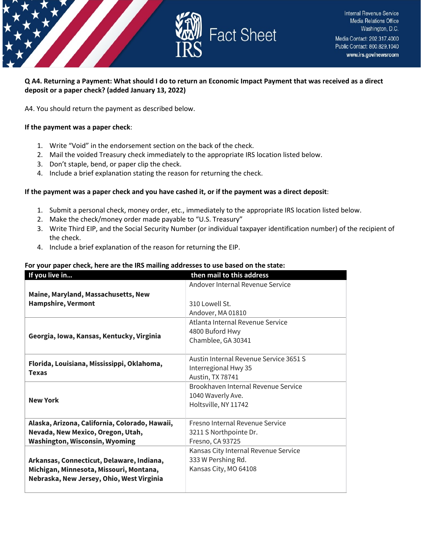

## **Q A4. Returning a Payment: What should I do to return an Economic Impact Payment that was received as a direct deposit or a paper check? (added January 13, 2022)**

A4. You should return the payment as described below.

#### **If the payment was a paper check**:

- 1. Write "Void" in the endorsement section on the back of the check.
- 2. Mail the voided Treasury check immediately to the appropriate IRS location listed below.
- 3. Don't staple, bend, or paper clip the check.
- 4. Include a brief explanation stating the reason for returning the check.

#### **If the payment was a paper check and you have cashed it, or if the payment was a direct deposit**:

- 1. Submit a personal check, money order, etc., immediately to the appropriate IRS location listed below.
- 2. Make the check/money order made payable to "U.S. Treasury"
- 3. Write Third EIP, and the Social Security Number (or individual taxpayer identification number) of the recipient of the check.
- 4. Include a brief explanation of the reason for returning the EIP.

#### **For your paper check, here are the IRS mailing addresses to use based on the state:**

| If you live in                                             | then mail to this address              |
|------------------------------------------------------------|----------------------------------------|
|                                                            | Andover Internal Revenue Service       |
| Maine, Maryland, Massachusetts, New                        |                                        |
| <b>Hampshire, Vermont</b>                                  | 310 Lowell St.                         |
|                                                            | Andover, MA 01810                      |
|                                                            | Atlanta Internal Revenue Service       |
| Georgia, Iowa, Kansas, Kentucky, Virginia                  | 4800 Buford Hwy                        |
|                                                            | Chamblee, GA 30341                     |
|                                                            |                                        |
| Florida, Louisiana, Mississippi, Oklahoma,<br><b>Texas</b> | Austin Internal Revenue Service 3651 S |
|                                                            | Interregional Hwy 35                   |
|                                                            | Austin, TX 78741                       |
|                                                            | Brookhaven Internal Revenue Service    |
| <b>New York</b>                                            | 1040 Waverly Ave.                      |
|                                                            | Holtsville, NY 11742                   |
|                                                            |                                        |
| Alaska, Arizona, California, Colorado, Hawaii,             | Fresno Internal Revenue Service        |
| Nevada, New Mexico, Oregon, Utah,                          | 3211 S Northpointe Dr.                 |
| <b>Washington, Wisconsin, Wyoming</b>                      | Fresno, CA 93725                       |
|                                                            | Kansas City Internal Revenue Service   |
| Arkansas, Connecticut, Delaware, Indiana,                  | 333 W Pershing Rd.                     |
| Michigan, Minnesota, Missouri, Montana,                    | Kansas City, MO 64108                  |
| Nebraska, New Jersey, Ohio, West Virginia                  |                                        |
|                                                            |                                        |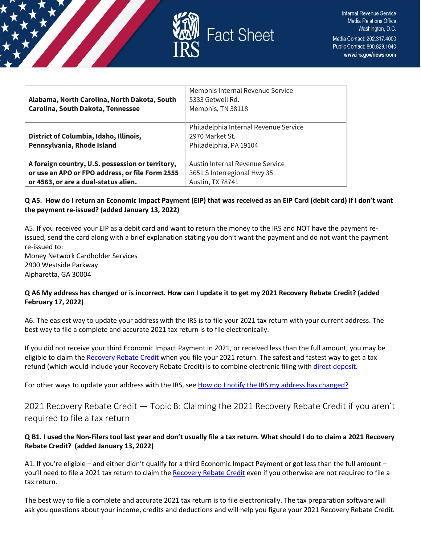

| Alabama, North Carolina, North Dakota, South<br><b>Carolina, South Dakota, Tennessee</b> | Memphis Internal Revenue Service<br>5333 Getwell Rd.<br>Memphis, TN 38118          |
|------------------------------------------------------------------------------------------|------------------------------------------------------------------------------------|
| District of Columbia, Idaho, Illinois,<br>Pennsylvania, Rhode Island                     | Philadelphia Internal Revenue Service<br>2970 Market St.<br>Philadelphia, PA 19104 |
| A foreign country, U.S. possession or territory,                                         | Austin Internal Revenue Service                                                    |
| or use an APO or FPO address, or file Form 2555                                          | 3651 S Interregional Hwy 35                                                        |
| or 4563, or are a dual-status alien.                                                     | Austin, TX 78741                                                                   |

## **Q A5. How do I return an Economic Impact Payment (EIP) that was received as an EIP Card (debit card) if I don't want the payment re-issued? (added January 13, 2022)**

A5. If you received your EIP as a debit card and want to return the money to the IRS and NOT have the payment reissued, send the card along with a brief explanation stating you don't want the payment and do not want the payment re-issued to: Money Network Cardholder Services

2900 Westside Parkway Alpharetta, GA 30004

## **Q A6 My address has changed or is incorrect. How can I update it to get my 2021 Recovery Rebate Credit? (added February 17, 2022)**

A6. The easiest way to update your address with the IRS is to file your 2021 tax return with your current address. The best way to file a complete and accurate 2021 tax return is to file electronically.

If you did not receive your third Economic Impact Payment in 2021, or received less than the full amount, you may be eligible to claim the [Recovery Rebate Credit](https://www.irs.gov/newsroom/recovery-rebate-credit) when you file your 2021 return. The safest and fastest way to get a tax refund (which would include your Recovery Rebate Credit) is to combine electronic filing with [direct deposit.](https://www.irs.gov/refunds/get-your-refund-faster-tell-irs-to-direct-deposit-your-refund-to-one-two-or-three-accounts)

For other ways to update your address with the IRS, see [How do I notify the IRS my address has changed?](https://www.irs.gov/faqs/irs-procedures/address-changes) 

<span id="page-4-0"></span>2021 Recovery Rebate Credit — Topic B: Claiming the 2021 Recovery Rebate Credit if you aren't required to file a tax return

## **Q B1. I used the Non-Filers tool last year and don't usually file a tax return. What should I do to claim a 2021 Recovery Rebate Credit? (added January 13, 2022)**

A1. If you're eligible – and either didn't qualify for a third Economic Impact Payment or got less than the full amount – you'll need to file a 2021 tax return to claim th[e Recovery Rebate Credit](https://www.irs.gov/newsroom/recovery-rebate-credit) even if you otherwise are not required to file a tax return.

The best way to file a complete and accurate 2021 tax return is to file electronically. The tax preparation software will ask you questions about your income, credits and deductions and will help you figure your 2021 Recovery Rebate Credit.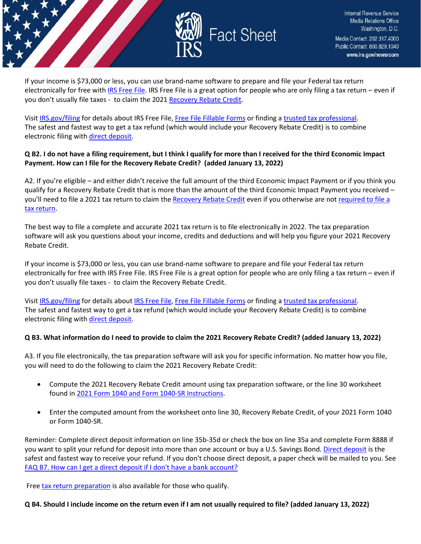

If your income is \$73,000 or less, you can use brand-name software to prepare and file your Federal tax return electronically for free wit[h IRS Free File.](https://www.irs.gov/filing/free-file-do-your-federal-taxes-for-free) IRS Free File is a great option for people who are only filing a tax return – even if you don't usually file taxes - to claim the 2021 [Recovery Rebate Credit.](https://www.irs.gov/newsroom/recovery-rebate-credit)

Visit [IRS.gov/filing](https://www.irs.gov/filing) for details about IRS Free File[, Free File Fillable Forms](https://www.irs.gov/e-file-providers/free-file-fillable-forms) or finding [a trusted tax professional.](https://www.irs.gov/tax-professionals/choosing-a-tax-professional) The safest and fastest way to get a tax refund (which would include your Recovery Rebate Credit) is to combine electronic filing wit[h direct deposit.](https://www.irs.gov/refunds/get-your-refund-faster-tell-irs-to-direct-deposit-your-refund-to-one-two-or-three-accounts)

#### **Q B2. I do not have a filing requirement, but I think I qualify for more than I received for the third Economic Impact Payment. How can I file for the Recovery Rebate Credit? (added January 13, 2022)**

A2. If you're eligible – and either didn't receive the full amount of the third Economic Impact Payment or if you think you qualify for a Recovery Rebate Credit that is more than the amount of the third Economic Impact Payment you received – you'll need to file a 2021 tax return to claim th[e Recovery Rebate Credit](https://www.irs.gov/newsroom/recovery-rebate-credit) even if you otherwise are not required to file a [tax return.](https://www.irs.gov/help/ita/do-i-need-to-file-a-tax-return)

The best way to file a complete and accurate 2021 tax return is to file electronically in 2022. The tax preparation software will ask you questions about your income, credits and deductions and will help you figure your 2021 Recovery Rebate Credit.

If your income is \$73,000 or less, you can use brand-name software to prepare and file your Federal tax return electronically for free with IRS Free File. IRS Free File is a great option for people who are only filing a tax return – even if you don't usually file taxes - to claim the Recovery Rebate Credit.

Visit [IRS.gov/filing](https://www.irs.gov/filing) for details about [IRS Free File,](https://www.irs.gov/filing/free-file-do-your-federal-taxes-for-free) [Free File Fillable Forms](https://www.irs.gov/e-file-providers/free-file-fillable-forms) or finding [a trusted tax professional.](https://www.irs.gov/tax-professionals/choosing-a-tax-professional) The safest and fastest way to get a tax refund (which would include your Recovery Rebate Credit) is to combine electronic filing wit[h direct deposit.](https://www.irs.gov/refunds/get-your-refund-faster-tell-irs-to-direct-deposit-your-refund-to-one-two-or-three-accounts)

## **Q B3. What information do I need to provide to claim the 2021 Recovery Rebate Credit? (added January 13, 2022)**

A3. If you file electronically, the tax preparation software will ask you for specific information. No matter how you file, you will need to do the following to claim the 2021 Recovery Rebate Credit:

- Compute the 2021 Recovery Rebate Credit amount using tax preparation software, or the line 30 worksheet found in [2021 Form 1040 and Form 1040-SR Instructions.](https://www.irs.gov/forms-pubs/about-form-1040)
- Enter the computed amount from the worksheet onto line 30, Recovery Rebate Credit, of your 2021 Form 1040 or Form 1040-SR.

Reminder: Complete direct deposit information on line 35b-35d or check the box on line 35a and complete Form 8888 if you want to split your refund for deposit into more than one account or buy a U.S. Savings Bond[. Direct deposit](https://www.irs.gov/refunds/get-your-refund-faster-tell-irs-to-direct-deposit-your-refund-to-one-two-or-three-accounts) is the safest and fastest way to receive your refund. If you don't choose direct deposit, a paper check will be mailed to you. See [FAQ B7. How can I get a direct deposit if I don't have a bank account?](https://www.irs.gov/newsroom/2021-recovery-rebate-credit-topic-b-claiming-the-2021-recovery-rebate-credit-if-you-arent-required-to-file-a-tax-return#q7)

Free [tax return preparation](https://www.irs.gov/individuals/free-tax-return-preparation-for-qualifying-taxpayers) is also available for those who qualify.

**Q B4. Should I include income on the return even if I am not usually required to file? (added January 13, 2022)**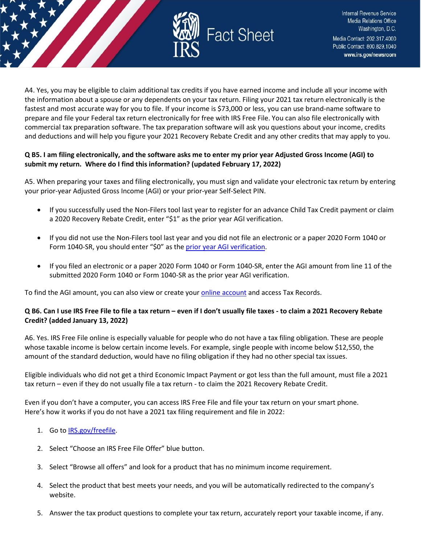

A4. Yes, you may be eligible to claim additional tax credits if you have earned income and include all your income with the information about a spouse or any dependents on your tax return. Filing your 2021 tax return electronically is the fastest and most accurate way for you to file. If your income is \$73,000 or less, you can use brand-name software to prepare and file your Federal tax return electronically for free with IRS Free File. You can also file electronically with commercial tax preparation software. The tax preparation software will ask you questions about your income, credits and deductions and will help you figure your 2021 Recovery Rebate Credit and any other credits that may apply to you.

## **Q B5. I am filing electronically, and the software asks me to enter my prior year Adjusted Gross Income (AGI) to submit my return. Where do I find this information? (updated February 17, 2022)**

A5. When preparing your taxes and filing electronically, you must sign and validate your electronic tax return by entering your prior-year Adjusted Gross Income (AGI) or your prior-year Self-Select PIN.

- If you successfully used the Non-Filers tool last year to register for an advance Child Tax Credit payment or claim a 2020 Recovery Rebate Credit, enter "\$1" as the prior year AGI verification.
- If you did not use the Non-Filers tool last year and you did not file an electronic or a paper 2020 Form 1040 or Form 1040-SR, you should enter "\$0" as th[e prior year AGI verification.](https://www.irs.gov/individuals/electronic-filing-pin-request)
- If you filed an electronic or a paper 2020 Form 1040 or Form 1040-SR, enter the AGI amount from line 11 of the submitted 2020 Form 1040 or Form 1040-SR as the prior year AGI verification.

To find the AGI amount, you can also view or create your **online account** and access Tax Records.

#### **Q B6. Can I use IRS Free File to file a tax return – even if I don't usually file taxes - to claim a 2021 Recovery Rebate Credit? (added January 13, 2022)**

A6. Yes. IRS Free File online is especially valuable for people who do not have a tax filing obligation. These are people whose taxable income is below certain income levels. For example, single people with income below \$12,550, the amount of the standard deduction, would have no filing obligation if they had no other special tax issues.

Eligible individuals who did not get a third Economic Impact Payment or got less than the full amount, must file a 2021 tax return – even if they do not usually file a tax return - to claim the 2021 Recovery Rebate Credit.

Even if you don't have a computer, you can access IRS Free File and file your tax return on your smart phone. Here's how it works if you do not have a 2021 tax filing requirement and file in 2022:

## 1. Go to [IRS.gov/freefile.](https://www.irs.gov/filing/free-file-do-your-federal-taxes-for-free)

- 2. Select "Choose an IRS Free File Offer" blue button.
- 3. Select "Browse all offers" and look for a product that has no minimum income requirement.
- 4. Select the product that best meets your needs, and you will be automatically redirected to the company's website.
- 5. Answer the tax product questions to complete your tax return, accurately report your taxable income, if any.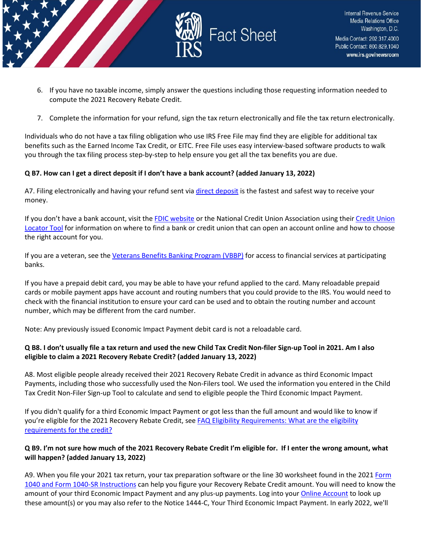

- 6. If you have no taxable income, simply answer the questions including those requesting information needed to compute the 2021 Recovery Rebate Credit.
- 7. Complete the information for your refund, sign the tax return electronically and file the tax return electronically.

Individuals who do not have a tax filing obligation who use IRS Free File may find they are eligible for additional tax benefits such as the Earned Income Tax Credit, or EITC. Free File uses easy interview-based software products to walk you through the tax filing process step-by-step to help ensure you get all the tax benefits you are due.

#### **Q B7. How can I get a direct deposit if I don't have a bank account? (added January 13, 2022)**

A7. Filing electronically and having your refund sent via [direct deposit](https://www.irs.gov/refunds/get-your-refund-faster-tell-irs-to-direct-deposit-your-refund-to-one-two-or-three-accounts) is the fastest and safest way to receive your money.

If you don't have a bank account, visit th[e FDIC website](https://www.fdic.gov/about/initiatives/getbanked/index.html) or the National Credit Union Association using their Credit Union [Locator Tool](https://www.mycreditunion.gov/about-credit-unions/credit-union-locator) for information on where to find a bank or credit union that can open an account online and how to choose the right account for you.

If you are a veteran, see the [Veterans Benefits Banking Program \(VBBP\)](https://www.benefits.va.gov/benefits/banking.asp) for access to financial services at participating banks.

If you have a prepaid debit card, you may be able to have your refund applied to the card. Many reloadable prepaid cards or mobile payment apps have account and routing numbers that you could provide to the IRS. You would need to check with the financial institution to ensure your card can be used and to obtain the routing number and account number, which may be different from the card number.

Note: Any previously issued Economic Impact Payment debit card is not a reloadable card.

## **Q B8. I don't usually file a tax return and used the new Child Tax Credit Non-filer Sign-up Tool in 2021. Am I also eligible to claim a 2021 Recovery Rebate Credit? (added January 13, 2022)**

A8. Most eligible people already received their 2021 Recovery Rebate Credit in advance as third Economic Impact Payments, including those who successfully used the Non-Filers tool. We used the information you entered in the Child Tax Credit Non-Filer Sign-up Tool to calculate and send to eligible people the Third Economic Impact Payment.

If you didn't qualify for a third Economic Impact Payment or got less than the full amount and would like to know if you're eligible for the 2021 Recovery Rebate Credit, see [FAQ Eligibility Requirements: What are the eligibility](https://www.irs.gov/newsroom/2021-recovery-rebate-credit-topic-c-eligibility-for-claiming-a-recovery-rebate-credit-on-a-2021-tax-return#q1)  [requirements for the credit?](https://www.irs.gov/newsroom/2021-recovery-rebate-credit-topic-c-eligibility-for-claiming-a-recovery-rebate-credit-on-a-2021-tax-return#q1) 

## **Q B9. I'm not sure how much of the 2021 Recovery Rebate Credit I'm eligible for. If I enter the wrong amount, what will happen? (added January 13, 2022)**

A9. When you file your 2021 tax return, your tax preparation software or the line 30 worksheet found in the 2021 Form [1040 and Form 1040-SR Instructions](https://www.irs.gov/forms-pubs/about-form-1040) can help you figure your Recovery Rebate Credit amount. You will need to know the amount of your third Economic Impact Payment and any plus-up payments. Log into your [Online Account](https://www.irs.gov/payments/your-online-account) to look up these amount(s) or you may also refer to the Notice 1444-C, Your Third Economic Impact Payment. In early 2022, we'll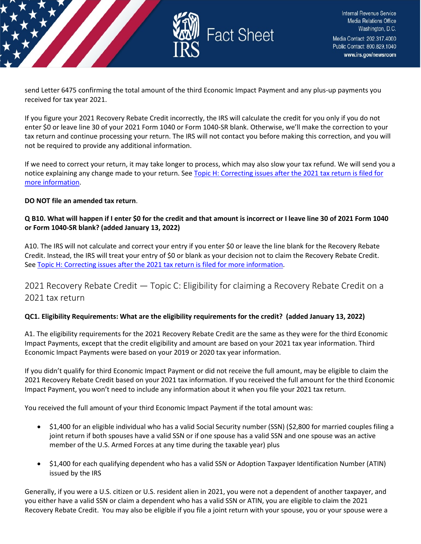

send Letter 6475 confirming the total amount of the third Economic Impact Payment and any plus-up payments you received for tax year 2021.

If you figure your 2021 Recovery Rebate Credit incorrectly, the IRS will calculate the credit for you only if you do not enter \$0 or leave line 30 of your 2021 Form 1040 or Form 1040-SR blank. Otherwise, we'll make the correction to your tax return and continue processing your return. The IRS will not contact you before making this correction, and you will not be required to provide any additional information.

If we need to correct your return, it may take longer to process, which may also slow your tax refund. We will send you a notice explaining any change made to your return. See Topic H: Correcting issues after the 2021 tax return is filed for [more information.](https://www.irs.gov/newsroom/2021-recovery-rebate-credit-topic-h-correcting-issues-after-the-2021-tax-return-is-filed)

#### **DO NOT file an amended tax return**.

## **Q B10. What will happen if I enter \$0 for the credit and that amount is incorrect or I leave line 30 of 2021 Form 1040 or Form 1040-SR blank? (added January 13, 2022)**

A10. The IRS will not calculate and correct your entry if you enter \$0 or leave the line blank for the Recovery Rebate Credit. Instead, the IRS will treat your entry of \$0 or blank as your decision not to claim the Recovery Rebate Credit. Se[e Topic H: Correcting issues after the 2021 tax return is filed for more information.](https://www.irs.gov/newsroom/2021-recovery-rebate-credit-topic-h-correcting-issues-after-the-2021-tax-return-is-filed)

## <span id="page-8-0"></span>2021 Recovery Rebate Credit — Topic C: Eligibility for claiming a Recovery Rebate Credit on a 2021 tax return

## **QC1. Eligibility Requirements: What are the eligibility requirements for the credit? (added January 13, 2022)**

A1. The eligibility requirements for the 2021 Recovery Rebate Credit are the same as they were for the third Economic Impact Payments, except that the credit eligibility and amount are based on your 2021 tax year information. Third Economic Impact Payments were based on your 2019 or 2020 tax year information.

If you didn't qualify for third Economic Impact Payment or did not receive the full amount, may be eligible to claim the 2021 Recovery Rebate Credit based on your 2021 tax information. If you received the full amount for the third Economic Impact Payment, you won't need to include any information about it when you file your 2021 tax return.

You received the full amount of your third Economic Impact Payment if the total amount was:

- \$1,400 for an eligible individual who has a valid Social Security number (SSN) (\$2,800 for married couples filing a joint return if both spouses have a valid SSN or if one spouse has a valid SSN and one spouse was an active member of the U.S. Armed Forces at any time during the taxable year) plus
- \$1,400 for each qualifying dependent who has a valid SSN or Adoption Taxpayer Identification Number (ATIN) issued by the IRS

Generally, if you were a U.S. citizen or U.S. resident alien in 2021, you were not a dependent of another taxpayer, and you either have a valid SSN or claim a dependent who has a valid SSN or ATIN, you are eligible to claim the 2021 Recovery Rebate Credit. You may also be eligible if you file a joint return with your spouse, you or your spouse were a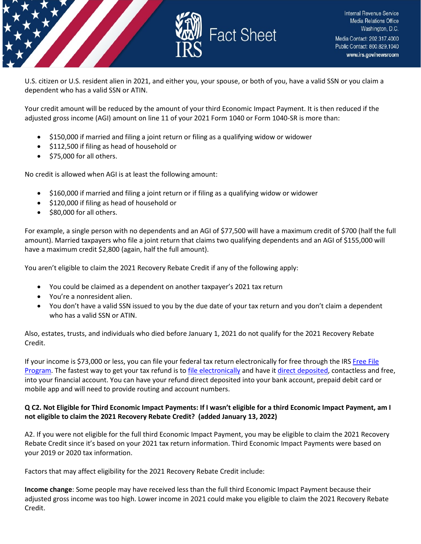

U.S. citizen or U.S. resident alien in 2021, and either you, your spouse, or both of you, have a valid SSN or you claim a dependent who has a valid SSN or ATIN.

Your credit amount will be reduced by the amount of your third Economic Impact Payment. It is then reduced if the adjusted gross income (AGI) amount on line 11 of your 2021 Form 1040 or Form 1040-SR is more than:

- \$150,000 if married and filing a joint return or filing as a qualifying widow or widower
- \$112,500 if filing as head of household or
- \$75,000 for all others.

No credit is allowed when AGI is at least the following amount:

- \$160,000 if married and filing a joint return or if filing as a qualifying widow or widower
- \$120,000 if filing as head of household or
- \$80,000 for all others.

For example, a single person with no dependents and an AGI of \$77,500 will have a maximum credit of \$700 (half the full amount). Married taxpayers who file a joint return that claims two qualifying dependents and an AGI of \$155,000 will have a maximum credit \$2,800 (again, half the full amount).

You aren't eligible to claim the 2021 Recovery Rebate Credit if any of the following apply:

- You could be claimed as a dependent on another taxpayer's 2021 tax return
- You're a nonresident alien.
- You don't have a valid SSN issued to you by the due date of your tax return and you don't claim a dependent who has a valid SSN or ATIN.

Also, estates, trusts, and individuals who died before January 1, 2021 do not qualify for the 2021 Recovery Rebate Credit.

If your income is \$73,000 or less, you can file your federal tax return electronically for free through the IRS [Free File](https://www.irs.gov/filing/free-file-do-your-federal-taxes-for-free)  [Program.](https://www.irs.gov/filing/free-file-do-your-federal-taxes-for-free) The fastest way to get your tax refund is t[o file electronically](https://www.irs.gov/filing/e-file-options) and have it [direct deposited,](https://www.irs.gov/refunds/get-your-refund-faster-tell-irs-to-direct-deposit-your-refund-to-one-two-or-three-accounts) contactless and free, into your financial account. You can have your refund direct deposited into your bank account, prepaid debit card or mobile app and will need to provide routing and account numbers.

## **Q C2. Not Eligible for Third Economic Impact Payments: If I wasn't eligible for a third Economic Impact Payment, am I not eligible to claim the 2021 Recovery Rebate Credit? (added January 13, 2022)**

A2. If you were not eligible for the full third Economic Impact Payment, you may be eligible to claim the 2021 Recovery Rebate Credit since it's based on your 2021 tax return information. Third Economic Impact Payments were based on your 2019 or 2020 tax information.

Factors that may affect eligibility for the 2021 Recovery Rebate Credit include:

**Income change**: Some people may have received less than the full third Economic Impact Payment because their adjusted gross income was too high. Lower income in 2021 could make you eligible to claim the 2021 Recovery Rebate Credit.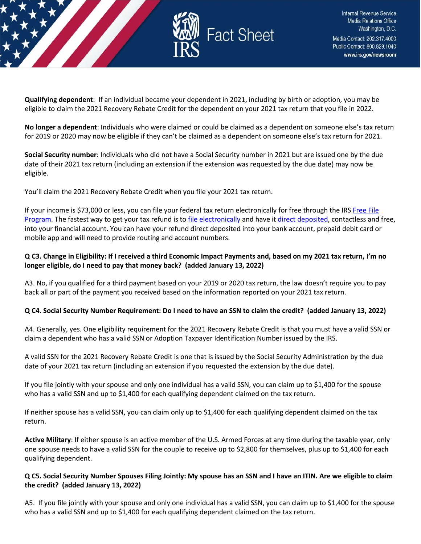

**Qualifying dependent**: If an individual became your dependent in 2021, including by birth or adoption, you may be eligible to claim the 2021 Recovery Rebate Credit for the dependent on your 2021 tax return that you file in 2022.

**No longer a dependent**: Individuals who were claimed or could be claimed as a dependent on someone else's tax return for 2019 or 2020 may now be eligible if they can't be claimed as a dependent on someone else's tax return for 2021.

**Social Security number**: Individuals who did not have a Social Security number in 2021 but are issued one by the due date of their 2021 tax return (including an extension if the extension was requested by the due date) may now be eligible.

You'll claim the 2021 Recovery Rebate Credit when you file your 2021 tax return.

If your income is \$73,000 or less, you can file your federal tax return electronically for free through the IRS Free File [Program.](https://www.irs.gov/filing/free-file-do-your-federal-taxes-for-free) The fastest way to get your tax refund is t[o file electronically](https://www.irs.gov/filing/e-file-options) and have it [direct deposited,](https://www.irs.gov/refunds/get-your-refund-faster-tell-irs-to-direct-deposit-your-refund-to-one-two-or-three-accounts) contactless and free, into your financial account. You can have your refund direct deposited into your bank account, prepaid debit card or mobile app and will need to provide routing and account numbers.

## **Q C3. Change in Eligibility: If I received a third Economic Impact Payments and, based on my 2021 tax return, I'm no longer eligible, do I need to pay that money back? (added January 13, 2022)**

A3. No, if you qualified for a third payment based on your 2019 or 2020 tax return, the law doesn't require you to pay back all or part of the payment you received based on the information reported on your 2021 tax return.

## **Q C4. Social Security Number Requirement: Do I need to have an SSN to claim the credit? (added January 13, 2022)**

A4. Generally, yes. One eligibility requirement for the 2021 Recovery Rebate Credit is that you must have a valid SSN or claim a dependent who has a valid SSN or Adoption Taxpayer Identification Number issued by the IRS.

A valid SSN for the 2021 Recovery Rebate Credit is one that is issued by the Social Security Administration by the due date of your 2021 tax return (including an extension if you requested the extension by the due date).

If you file jointly with your spouse and only one individual has a valid SSN, you can claim up to \$1,400 for the spouse who has a valid SSN and up to \$1,400 for each qualifying dependent claimed on the tax return.

If neither spouse has a valid SSN, you can claim only up to \$1,400 for each qualifying dependent claimed on the tax return.

**Active Military**: If either spouse is an active member of the U.S. Armed Forces at any time during the taxable year, only one spouse needs to have a valid SSN for the couple to receive up to \$2,800 for themselves, plus up to \$1,400 for each qualifying dependent.

## **Q C5. Social Security Number Spouses Filing Jointly: My spouse has an SSN and I have an ITIN. Are we eligible to claim the credit? (added January 13, 2022)**

A5. If you file jointly with your spouse and only one individual has a valid SSN, you can claim up to \$1,400 for the spouse who has a valid SSN and up to \$1,400 for each qualifying dependent claimed on the tax return.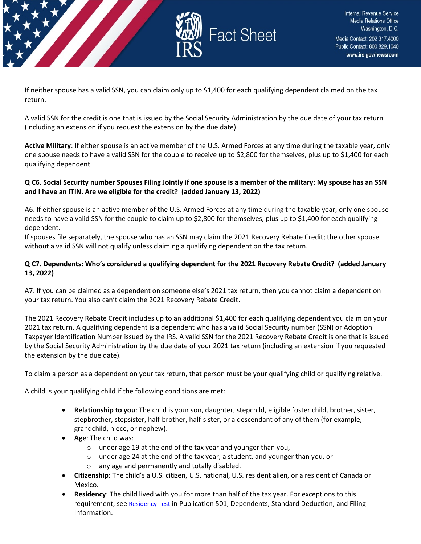

If neither spouse has a valid SSN, you can claim only up to \$1,400 for each qualifying dependent claimed on the tax return.

A valid SSN for the credit is one that is issued by the Social Security Administration by the due date of your tax return (including an extension if you request the extension by the due date).

**Active Military**: If either spouse is an active member of the U.S. Armed Forces at any time during the taxable year, only one spouse needs to have a valid SSN for the couple to receive up to \$2,800 for themselves, plus up to \$1,400 for each qualifying dependent.

## **Q C6. Social Security number Spouses Filing Jointly if one spouse is a member of the military: My spouse has an SSN and I have an ITIN. Are we eligible for the credit? (added January 13, 2022)**

A6. If either spouse is an active member of the U.S. Armed Forces at any time during the taxable year, only one spouse needs to have a valid SSN for the couple to claim up to \$2,800 for themselves, plus up to \$1,400 for each qualifying dependent.

If spouses file separately, the spouse who has an SSN may claim the 2021 Recovery Rebate Credit; the other spouse without a valid SSN will not qualify unless claiming a qualifying dependent on the tax return.

## **Q C7. Dependents: Who's considered a qualifying dependent for the 2021 Recovery Rebate Credit? (added January 13, 2022)**

A7. If you can be claimed as a dependent on someone else's 2021 tax return, then you cannot claim a dependent on your tax return. You also can't claim the 2021 Recovery Rebate Credit.

The 2021 Recovery Rebate Credit includes up to an additional \$1,400 for each qualifying dependent you claim on your 2021 tax return. A qualifying dependent is a dependent who has a valid Social Security number (SSN) or Adoption Taxpayer Identification Number issued by the IRS. A valid SSN for the 2021 Recovery Rebate Credit is one that is issued by the Social Security Administration by the due date of your 2021 tax return (including an extension if you requested the extension by the due date).

To claim a person as a dependent on your tax return, that person must be your qualifying child or qualifying relative.

A child is your qualifying child if the following conditions are met:

- **Relationship to you**: The child is your son, daughter, stepchild, eligible foster child, brother, sister, stepbrother, stepsister, half-brother, half-sister, or a descendant of any of them (for example, grandchild, niece, or nephew).
- **Age**: The child was:
	- o under age 19 at the end of the tax year and younger than you,
	- o under age 24 at the end of the tax year, a student, and younger than you, or
	- o any age and permanently and totally disabled.
- **Citizenship**: The child's a U.S. citizen, U.S. national, U.S. resident alien, or a resident of Canada or Mexico.
- **Residency**: The child lived with you for more than half of the tax year. For exceptions to this requirement, se[e Residency Test](https://www.irs.gov/pub/irs-pdf/p501.pdf) in Publication 501, Dependents, Standard Deduction, and Filing Information.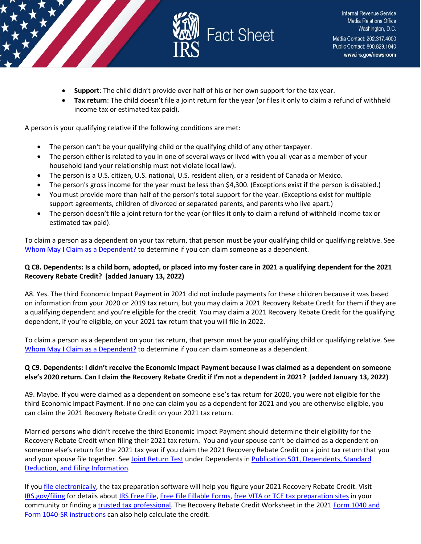

- **Support**: The child didn't provide over half of his or her own support for the tax year.
- **Tax return**: The child doesn't file a joint return for the year (or files it only to claim a refund of withheld income tax or estimated tax paid).

A person is your qualifying relative if the following conditions are met:

- The person can't be your qualifying child or the qualifying child of any other taxpayer.
- The person either is related to you in one of several ways or lived with you all year as a member of your household (and your relationship must not violate local law).
- The person is a U.S. citizen, U.S. national, U.S. resident alien, or a resident of Canada or Mexico.
- The person's gross income for the year must be less than \$4,300. (Exceptions exist if the person is disabled.)
- You must provide more than half of the person's total support for the year. (Exceptions exist for multiple support agreements, children of divorced or separated parents, and parents who live apart.)
- The person doesn't file a joint return for the year (or files it only to claim a refund of withheld income tax or estimated tax paid).

To claim a person as a dependent on your tax return, that person must be your qualifying child or qualifying relative. See [Whom May I Claim as a Dependent?](https://www.irs.gov/help/ita/whom-may-i-claim-as-a-dependent) to determine if you can claim someone as a dependent.

## **Q C8. Dependents: Is a child born, adopted, or placed into my foster care in 2021 a qualifying dependent for the 2021 Recovery Rebate Credit? (added January 13, 2022)**

A8. Yes. The third Economic Impact Payment in 2021 did not include payments for these children because it was based on information from your 2020 or 2019 tax return, but you may claim a 2021 Recovery Rebate Credit for them if they are a qualifying dependent and you're eligible for the credit. You may claim a 2021 Recovery Rebate Credit for the qualifying dependent, if you're eligible, on your 2021 tax return that you will file in 2022.

To claim a person as a dependent on your tax return, that person must be your qualifying child or qualifying relative. See [Whom May I Claim as a Dependent?](https://www.irs.gov/help/ita/whom-may-i-claim-as-a-dependent) to determine if you can claim someone as a dependent.

## **Q C9. Dependents: I didn't receive the Economic Impact Payment because I was claimed as a dependent on someone else's 2020 return. Can I claim the Recovery Rebate Credit if I'm not a dependent in 2021? (added January 13, 2022)**

A9. Maybe. If you were claimed as a dependent on someone else's tax return for 2020, you were not eligible for the third Economic Impact Payment. If no one can claim you as a dependent for 2021 and you are otherwise eligible, you can claim the 2021 Recovery Rebate Credit on your 2021 tax return.

Married persons who didn't receive the third Economic Impact Payment should determine their eligibility for the Recovery Rebate Credit when filing their 2021 tax return. You and your spouse can't be claimed as a dependent on someone else's return for the 2021 tax year if you claim the 2021 Recovery Rebate Credit on a joint tax return that you and your spouse file together. See [Joint Return Test](https://www.irs.gov/pub/irs-pdf/p501.pdf) under Dependents in Publication 501, Dependents, Standard [Deduction, and Filing Information.](https://www.irs.gov/forms-pubs/about-publication-501)

If you *file electronically*, the tax preparation software will help you figure your 2021 Recovery Rebate Credit. Visit [IRS.gov/filing](https://www.irs.gov/filing) for details abou[t IRS Free File,](https://www.irs.gov/filing/free-file-do-your-federal-taxes-for-free) [Free File Fillable Forms,](https://www.irs.gov/e-file-providers/free-file-fillable-forms) [free VITA or TCE tax preparation sites](https://www.irs.gov/individuals/irs-free-tax-return-preparation-programs) in your community or finding [a trusted tax professional.](https://www.irs.gov/tax-professionals/choosing-a-tax-professional) The Recovery Rebate Credit Worksheet in the 2021 [Form 1040 and](https://www.irs.gov/forms-pubs/about-form-1040)  [Form 1040-SR instructions](https://www.irs.gov/forms-pubs/about-form-1040) can also help calculate the credit.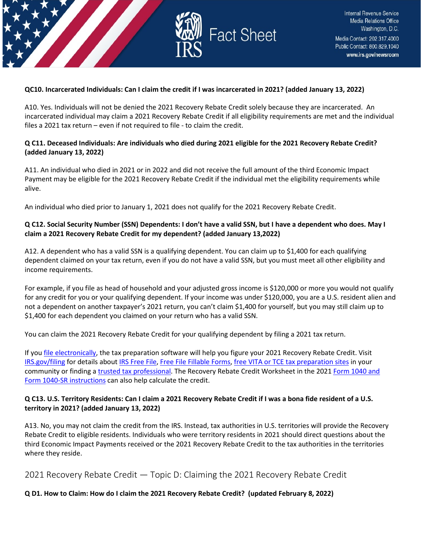

#### **QC10. Incarcerated Individuals: Can I claim the credit if I was incarcerated in 2021? (added January 13, 2022)**

A10. Yes. Individuals will not be denied the 2021 Recovery Rebate Credit solely because they are incarcerated. An incarcerated individual may claim a 2021 Recovery Rebate Credit if all eligibility requirements are met and the individual files a 2021 tax return – even if not required to file - to claim the credit.

#### **Q C11. Deceased Individuals: Are individuals who died during 2021 eligible for the 2021 Recovery Rebate Credit? (added January 13, 2022)**

A11. An individual who died in 2021 or in 2022 and did not receive the full amount of the third Economic Impact Payment may be eligible for the 2021 Recovery Rebate Credit if the individual met the eligibility requirements while alive.

An individual who died prior to January 1, 2021 does not qualify for the 2021 Recovery Rebate Credit.

#### **Q C12. Social Security Number (SSN) Dependents: I don't have a valid SSN, but I have a dependent who does. May I claim a 2021 Recovery Rebate Credit for my dependent? (added January 13,2022)**

A12. A dependent who has a valid SSN is a qualifying dependent. You can claim up to \$1,400 for each qualifying dependent claimed on your tax return, even if you do not have a valid SSN, but you must meet all other eligibility and income requirements.

For example, if you file as head of household and your adjusted gross income is \$120,000 or more you would not qualify for any credit for you or your qualifying dependent. If your income was under \$120,000, you are a U.S. resident alien and not a dependent on another taxpayer's 2021 return, you can't claim \$1,400 for yourself, but you may still claim up to \$1,400 for each dependent you claimed on your return who has a valid SSN.

You can claim the 2021 Recovery Rebate Credit for your qualifying dependent by filing a 2021 tax return.

If yo[u file electronically,](https://www.irs.gov/filing/e-file-options) the tax preparation software will help you figure your 2021 Recovery Rebate Credit. Visit [IRS.gov/filing](https://www.irs.gov/filing) for details abou[t IRS Free File,](https://www.irs.gov/filing/free-file-do-your-federal-taxes-for-free) [Free File Fillable Forms,](https://www.irs.gov/e-file-providers/free-file-fillable-forms) [free VITA or TCE tax preparation sites](https://www.irs.gov/individuals/irs-free-tax-return-preparation-programs) in your community or finding [a trusted tax professional.](https://www.irs.gov/tax-professionals/choosing-a-tax-professional) The Recovery Rebate Credit Worksheet in the 2021 [Form 1040 and](https://www.irs.gov/forms-pubs/about-form-1040)  [Form 1040-SR instructions](https://www.irs.gov/forms-pubs/about-form-1040) can also help calculate the credit.

#### **Q C13. U.S. Territory Residents: Can I claim a 2021 Recovery Rebate Credit if I was a bona fide resident of a U.S. territory in 2021? (added January 13, 2022)**

A13. No, you may not claim the credit from the IRS. Instead, tax authorities in U.S. territories will provide the Recovery Rebate Credit to eligible residents. Individuals who were territory residents in 2021 should direct questions about the third Economic Impact Payments received or the 2021 Recovery Rebate Credit to the tax authorities in the territories where they reside.

<span id="page-13-0"></span>2021 Recovery Rebate Credit — Topic D: Claiming the 2021 Recovery Rebate Credit

#### **Q D1. How to Claim: How do I claim the 2021 Recovery Rebate Credit? (updated February 8, 2022)**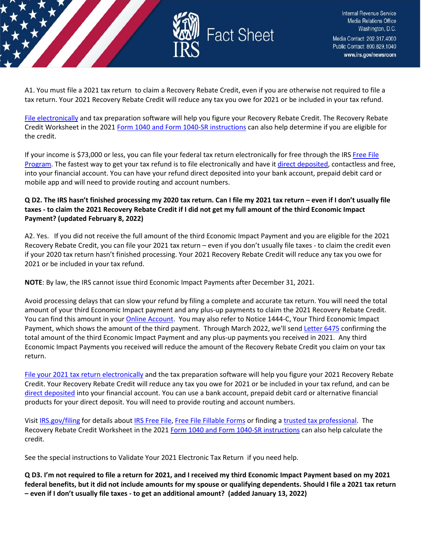

A1. You must file a 2021 tax return to claim a Recovery Rebate Credit, even if you are otherwise not required to file a tax return. Your 2021 Recovery Rebate Credit will reduce any tax you owe for 2021 or be included in your tax refund.

[File electronically](https://www.irs.gov/filing/e-file-options) and tax preparation software will help you figure your Recovery Rebate Credit. The Recovery Rebate Credit Worksheet in the 2021 [Form 1040 and Form 1040-SR instructions](https://www.irs.gov/forms-pubs/about-form-1040) can also help determine if you are eligible for the credit.

If your income is \$73,000 or less, you can file your federal tax return electronically for free through the IRS [Free File](https://www.irs.gov/filing/free-file-do-your-federal-taxes-for-free)  [Program.](https://www.irs.gov/filing/free-file-do-your-federal-taxes-for-free) The fastest way to get your tax refund is to file electronically and have it [direct deposited,](https://www.irs.gov/refunds/get-your-refund-faster-tell-irs-to-direct-deposit-your-refund-to-one-two-or-three-accounts) contactless and free, into your financial account. You can have your refund direct deposited into your bank account, prepaid debit card or mobile app and will need to provide routing and account numbers.

## **Q D2. The IRS hasn't finished processing my 2020 tax return. Can I file my 2021 tax return – even if I don't usually file taxes - to claim the 2021 Recovery Rebate Credit if I did not get my full amount of the third Economic Impact Payment? (updated February 8, 2022)**

A2. Yes. If you did not receive the full amount of the third Economic Impact Payment and you are eligible for the 2021 Recovery Rebate Credit, you can file your 2021 tax return – even if you don't usually file taxes - to claim the credit even if your 2020 tax return hasn't finished processing. Your 2021 Recovery Rebate Credit will reduce any tax you owe for 2021 or be included in your tax refund.

**NOTE**: By law, the IRS cannot issue third Economic Impact Payments after December 31, 2021.

Avoid processing delays that can slow your refund by filing a complete and accurate tax return. You will need the total amount of your third Economic Impact payment and any plus-up payments to claim the 2021 Recovery Rebate Credit. You can find this amount in you[r Online Account.](https://www.irs.gov/payments/your-online-account) You may also refer to Notice 1444-C, Your Third Economic Impact Payment, which shows the amount of the third payment. Through March 2022, we'll send [Letter 6475](https://www.irs.gov/individuals/understanding-your-letter-6475) confirming the total amount of the third Economic Impact Payment and any plus-up payments you received in 2021. Any third Economic Impact Payments you received will reduce the amount of the Recovery Rebate Credit you claim on your tax return.

[File your 2021 tax return electronically](https://www.irs.gov/filing/e-file-options) and the tax preparation software will help you figure your 2021 Recovery Rebate Credit. Your Recovery Rebate Credit will reduce any tax you owe for 2021 or be included in your tax refund, and can be [direct deposited](https://www.irs.gov/refunds/get-your-refund-faster-tell-irs-to-direct-deposit-your-refund-to-one-two-or-three-accounts) into your financial account. You can use a bank account, prepaid debit card or alternative financial products for your direct deposit. You will need to provide routing and account numbers.

Visit [IRS.gov/filing](https://www.irs.gov/filing) for details about [IRS Free File,](https://www.irs.gov/filing/free-file-do-your-federal-taxes-for-free) [Free File Fillable Forms](https://www.irs.gov/e-file-providers/free-file-fillable-forms) or finding [a trusted tax professional.](https://www.irs.gov/tax-professionals/choosing-a-tax-professional) The Recovery Rebate Credit Worksheet in the 2021 [Form 1040 and Form 1040-SR instructions](https://www.irs.gov/forms-pubs/about-form-1040) can also help calculate the credit.

See the special instructions to Validate Your 2021 Electronic Tax Return if you need help.

**Q D3. I'm not required to file a return for 2021, and I received my third Economic Impact Payment based on my 2021 federal benefits, but it did not include amounts for my spouse or qualifying dependents. Should I file a 2021 tax return – even if I don't usually file taxes - to get an additional amount? (added January 13, 2022)**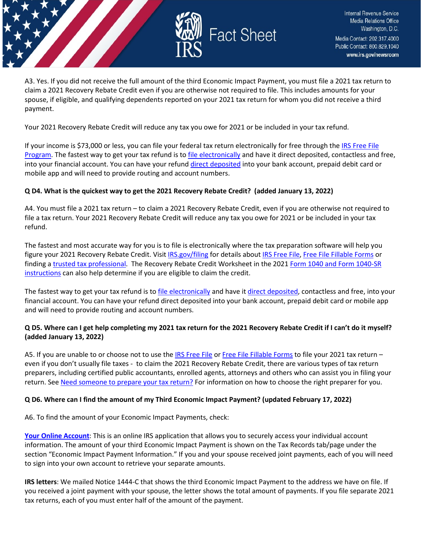

A3. Yes. If you did not receive the full amount of the third Economic Impact Payment, you must file a 2021 tax return to claim a 2021 Recovery Rebate Credit even if you are otherwise not required to file. This includes amounts for your spouse, if eligible, and qualifying dependents reported on your 2021 tax return for whom you did not receive a third payment.

Your 2021 Recovery Rebate Credit will reduce any tax you owe for 2021 or be included in your tax refund.

If your income is \$73,000 or less, you can file your federal tax return electronically for free through th[e IRS Free File](https://www.irs.gov/filing/free-file-do-your-federal-taxes-for-free)  [Program.](https://www.irs.gov/filing/free-file-do-your-federal-taxes-for-free) The fastest way to get your tax refund is t[o file electronically](https://www.irs.gov/filing/e-file-options) and have it direct deposited, contactless and free, into your financial account. You can have your refund [direct deposited](https://www.irs.gov/refunds/get-your-refund-faster-tell-irs-to-direct-deposit-your-refund-to-one-two-or-three-accounts) into your bank account, prepaid debit card or mobile app and will need to provide routing and account numbers.

## **Q D4. What is the quickest way to get the 2021 Recovery Rebate Credit? (added January 13, 2022)**

A4. You must file a 2021 tax return – to claim a 2021 Recovery Rebate Credit, even if you are otherwise not required to file a tax return. Your 2021 Recovery Rebate Credit will reduce any tax you owe for 2021 or be included in your tax refund.

The fastest and most accurate way for you is to file is electronically where the tax preparation software will help you figure your 2021 Recovery Rebate Credit. Visit [IRS.gov/filing](https://www.irs.gov/filing) for details abou[t IRS Free File,](https://www.irs.gov/filing/free-file-do-your-federal-taxes-for-free) [Free File Fillable Forms](https://www.irs.gov/e-file-providers/free-file-fillable-forms) or finding a [trusted tax professional.](https://www.irs.gov/tax-professionals/choosing-a-tax-professional) The Recovery Rebate Credit Worksheet in the 2021 Form 1040 and Form 1040-SR [instructions](https://www.irs.gov/forms-pubs/about-form-1040) can also help determine if you are eligible to claim the credit.

The fastest way to get your tax refund is to [file electronically](https://www.irs.gov/filing/e-file-options) and have i[t direct deposited,](https://www.irs.gov/refunds/get-your-refund-faster-tell-irs-to-direct-deposit-your-refund-to-one-two-or-three-accounts) contactless and free, into your financial account. You can have your refund direct deposited into your bank account, prepaid debit card or mobile app and will need to provide routing and account numbers.

#### **Q D5. Where can I get help completing my 2021 tax return for the 2021 Recovery Rebate Credit if I can't do it myself? (added January 13, 2022)**

A5. If you are unable to or choose not to use th[e IRS Free File](https://www.irs.gov/filing/free-file-do-your-federal-taxes-for-free) o[r Free File Fillable Forms](https://www.irs.gov/e-file-providers/free-file-fillable-forms) to file your 2021 tax return even if you don't usually file taxes - to claim the 2021 Recovery Rebate Credit, there are various types of tax return preparers, including certified public accountants, enrolled agents, attorneys and others who can assist you in filing your return. See [Need someone to prepare your tax return?](https://www.irs.gov/tax-professionals/choosing-a-tax-professional) For information on how to choose the right preparer for you.

#### **Q D6. Where can I find the amount of my Third Economic Impact Payment? (updated February 17, 2022)**

A6. To find the amount of your Economic Impact Payments, check:

**[Your Online Account](https://www.irs.gov/payments/your-online-account)**: This is an online IRS application that allows you to securely access your individual account information. The amount of your third Economic Impact Payment is shown on the Tax Records tab/page under the section "Economic Impact Payment Information." If you and your spouse received joint payments, each of you will need to sign into your own account to retrieve your separate amounts.

**IRS letters**: We mailed Notice 1444-C that shows the third Economic Impact Payment to the address we have on file. If you received a joint payment with your spouse, the letter shows the total amount of payments. If you file separate 2021 tax returns, each of you must enter half of the amount of the payment.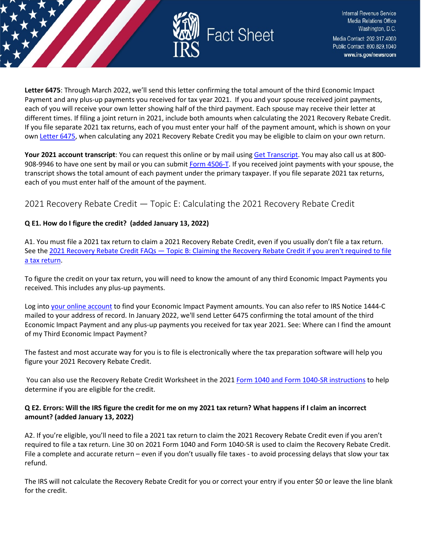

**Letter 6475**: Through March 2022, we'll send this letter confirming the total amount of the third Economic Impact Payment and any plus-up payments you received for tax year 2021. If you and your spouse received joint payments, each of you will receive your own letter showing half of the third payment. Each spouse may receive their letter at different times. If filing a joint return in 2021, include both amounts when calculating the 2021 Recovery Rebate Credit. If you file separate 2021 tax returns, each of you must enter your half of the payment amount, which is shown on your own [Letter 6475,](https://www.irs.gov/individuals/understanding-your-letter-6475) when calculating any 2021 Recovery Rebate Credit you may be eligible to claim on your own return.

**Your 2021 account transcript**: You can request this online or by mail using [Get Transcript.](https://www.irs.gov/individuals/get-transcript) You may also call us at 800- 908-9946 to have one sent by mail or you can submi[t Form 4506-T.](https://www.irs.gov/forms-pubs/about-form-4506-t) If you received joint payments with your spouse, the transcript shows the total amount of each payment under the primary taxpayer. If you file separate 2021 tax returns, each of you must enter half of the amount of the payment.

## <span id="page-16-0"></span>2021 Recovery Rebate Credit — Topic E: Calculating the 2021 Recovery Rebate Credit

## **Q E1. How do I figure the credit? (added January 13, 2022)**

A1. You must file a 2021 tax return to claim a 2021 Recovery Rebate Credit, even if you usually don't file a tax return. See the [2021 Recovery Rebate Credit FAQs — Topic B: Claiming the Recovery Rebate Credit if you aren't required to file](https://www.irs.gov/newsroom/2021-recovery-rebate-credit-topic-b-claiming-the-2021-recovery-rebate-credit-if-you-arent-required-to-file-a-tax-return)  [a tax return.](https://www.irs.gov/newsroom/2021-recovery-rebate-credit-topic-b-claiming-the-2021-recovery-rebate-credit-if-you-arent-required-to-file-a-tax-return)

To figure the credit on your tax return, you will need to know the amount of any third Economic Impact Payments you received. This includes any plus-up payments.

Log into [your online account](https://www.irs.gov/payments/your-online-account) to find your Economic Impact Payment amounts. You can also refer to IRS Notice 1444-C mailed to your address of record. In January 2022, we'll send Letter 6475 confirming the total amount of the third Economic Impact Payment and any plus-up payments you received for tax year 2021. See: Where can I find the amount of my Third Economic Impact Payment?

The fastest and most accurate way for you is to file is electronically where the tax preparation software will help you figure your 2021 Recovery Rebate Credit.

You can also use the Recovery Rebate Credit Worksheet in the 2021 [Form 1040 and Form 1040-SR instructions](https://www.irs.gov/forms-pubs/about-form-1040) to help determine if you are eligible for the credit.

## **Q E2. Errors: Will the IRS figure the credit for me on my 2021 tax return? What happens if I claim an incorrect amount? (added January 13, 2022)**

A2. If you're eligible, you'll need to file a 2021 tax return to claim the 2021 Recovery Rebate Credit even if you aren't required to file a tax return. Line 30 on 2021 Form 1040 and Form 1040-SR is used to claim the Recovery Rebate Credit. File a complete and accurate return – even if you don't usually file taxes - to avoid processing delays that slow your tax refund.

The IRS will not calculate the Recovery Rebate Credit for you or correct your entry if you enter \$0 or leave the line blank for the credit.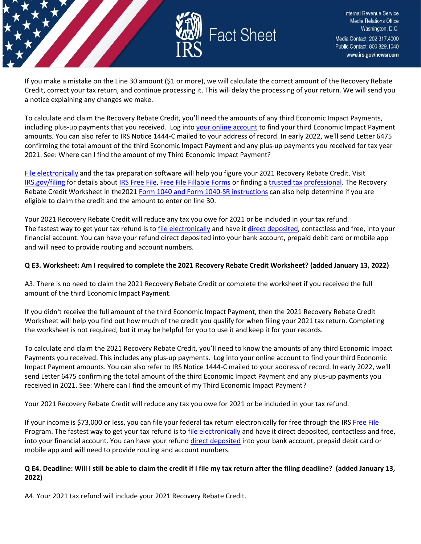

If you make a mistake on the Line 30 amount (\$1 or more), we will calculate the correct amount of the Recovery Rebate Credit, correct your tax return, and continue processing it. This will delay the processing of your return. We will send you a notice explaining any changes we make.

To calculate and claim the Recovery Rebate Credit, you'll need the amounts of any third Economic Impact Payments, including plus-up payments that you received. Log int[o your online account](https://www.irs.gov/payments/your-online-account) to find your third Economic Impact Payment amounts. You can also refer to IRS Notice 1444-C mailed to your address of record. In early 2022, we'll send Letter 6475 confirming the total amount of the third Economic Impact Payment and any plus-up payments you received for tax year 2021. See: Where can I find the amount of my Third Economic Impact Payment?

[File electronically](https://www.irs.gov/filing/e-file-options) and the tax preparation software will help you figure your 2021 Recovery Rebate Credit. Visit [IRS.gov/filing](https://www.irs.gov/filing) for details abou[t IRS](https://www.irs.gov/filing/free-file-do-your-federal-taxes-for-free) [Free File,](https://www.irs.gov/filing/free-file-do-your-federal-taxes-for-free) [Free File Fillable Forms](https://www.irs.gov/e-file-providers/free-file-fillable-forms) or finding a [trusted tax professional.](https://www.irs.gov/tax-professionals/choosing-a-tax-professional) The Recovery Rebate Credit Worksheet in the2021 [Form 1040 and Form 1040-SR instructions](https://www.irs.gov/forms-pubs/about-form-1040) can also help determine if you are eligible to claim the credit and the amount to enter on line 30.

Your 2021 Recovery Rebate Credit will reduce any tax you owe for 2021 or be included in your tax refund. The fastest way to get your tax refund is to [file electronically](https://www.irs.gov/filing/e-file-options) and have i[t direct deposited,](https://www.irs.gov/refunds/get-your-refund-faster-tell-irs-to-direct-deposit-your-refund-to-one-two-or-three-accounts) contactless and free, into your financial account. You can have your refund direct deposited into your bank account, prepaid debit card or mobile app and will need to provide routing and account numbers.

#### **Q E3. Worksheet: Am I required to complete the 2021 Recovery Rebate Credit Worksheet? (added January 13, 2022)**

A3. There is no need to claim the 2021 Recovery Rebate Credit or complete the worksheet if you received the full amount of the third Economic Impact Payment.

If you didn't receive the full amount of the third Economic Impact Payment, then the 2021 Recovery Rebate Credit Worksheet will help you find out how much of the credit you qualify for when filing your 2021 tax return. Completing the worksheet is not required, but it may be helpful for you to use it and keep it for your records.

To calculate and claim the 2021 Recovery Rebate Credit, you'll need to know the amounts of any third Economic Impact Payments you received. This includes any plus-up payments. Log into your online account to find your third Economic Impact Payment amounts. You can also refer to IRS Notice 1444-C mailed to your address of record. In early 2022, we'll send Letter 6475 confirming the total amount of the third Economic Impact Payment and any plus-up payments you received in 2021. See: Where can I find the amount of my Third Economic Impact Payment?

Your 2021 Recovery Rebate Credit will reduce any tax you owe for 2021 or be included in your tax refund.

If your income is \$73,000 or less, you can file your federal tax return electronically for free through the IRS [Free File](https://www.irs.gov/filing/free-file-do-your-federal-taxes-for-free) Program. The fastest way to get your tax refund is t[o file electronically](https://www.irs.gov/filing/e-file-options) and have it direct deposited, contactless and free, into your financial account. You can have your refund [direct deposited](https://www.irs.gov/refunds/get-your-refund-faster-tell-irs-to-direct-deposit-your-refund-to-one-two-or-three-accounts) into your bank account, prepaid debit card or mobile app and will need to provide routing and account numbers.

## **Q E4. Deadline: Will I still be able to claim the credit if I file my tax return after the filing deadline? (added January 13, 2022)**

A4. Your 2021 tax refund will include your 2021 Recovery Rebate Credit.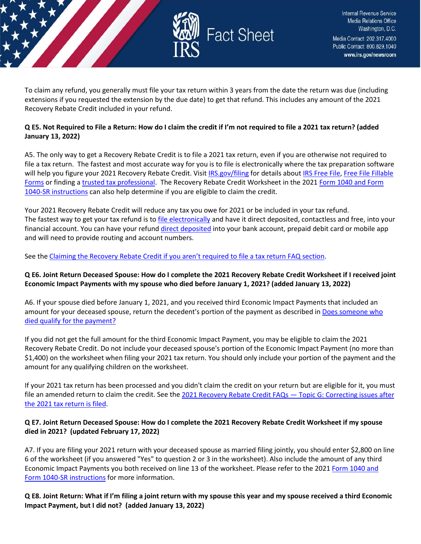

To claim any refund, you generally must file your tax return within 3 years from the date the return was due (including extensions if you requested the extension by the due date) to get that refund. This includes any amount of the 2021 Recovery Rebate Credit included in your refund.

## **Q E5. Not Required to File a Return: How do I claim the credit if I'm not required to file a 2021 tax return? (added January 13, 2022)**

A5. The only way to get a Recovery Rebate Credit is to file a 2021 tax return, even if you are otherwise not required to file a tax return. The fastest and most accurate way for you is to file is electronically where the tax preparation software will help you figure your 2021 Recovery Rebate Credit. Visit [IRS.gov/filing](https://www.irs.gov/filing) for details abou[t IRS Free File,](https://www.irs.gov/filing/free-file-do-your-federal-taxes-for-free) Free File Fillable [Forms](https://www.irs.gov/e-file-providers/free-file-fillable-forms) or finding [a trusted tax professional.](https://www.irs.gov/tax-professionals/choosing-a-tax-professional) The Recovery Rebate Credit Worksheet in the 202[1 Form 1040 and Form](https://www.irs.gov/forms-pubs/about-form-1040)  [1040-SR instructions](https://www.irs.gov/forms-pubs/about-form-1040) can also help determine if you are eligible to claim the credit.

Your 2021 Recovery Rebate Credit will reduce any tax you owe for 2021 or be included in your tax refund. The fastest way to get your tax refund is to [file electronically](https://www.irs.gov/filing/e-file-options) and have it direct deposited, contactless and free, into your financial account. You can have your refund [direct deposited](https://www.irs.gov/refunds/get-your-refund-faster-tell-irs-to-direct-deposit-your-refund-to-one-two-or-three-accounts) into your bank account, prepaid debit card or mobile app and will need to provide routing and account numbers.

See the [Claiming the Recovery Rebate Credit if you aren't required to file a tax return FAQ section.](https://www.irs.gov/newsroom/2021-recovery-rebate-credit-topic-b-claiming-the-2021-recovery-rebate-credit-if-you-arent-required-to-file-a-tax-return)

## **Q E6. Joint Return Deceased Spouse: How do I complete the 2021 Recovery Rebate Credit Worksheet if I received joint Economic Impact Payments with my spouse who died before January 1, 2021? (added January 13, 2022)**

A6. If your spouse died before January 1, 2021, and you received third Economic Impact Payments that included an amount for your deceased spouse, return the decedent's portion of the payment as described in Does someone who [died qualify for the payment?](https://www.irs.gov/newsroom/questions-and-answers-about-the-first-economic-impact-payment-topic-a-eligibility)

If you did not get the full amount for the third Economic Impact Payment, you may be eligible to claim the 2021 Recovery Rebate Credit. Do not include your deceased spouse's portion of the Economic Impact Payment (no more than \$1,400) on the worksheet when filing your 2021 tax return. You should only include your portion of the payment and the amount for any qualifying children on the worksheet.

If your 2021 tax return has been processed and you didn't claim the credit on your return but are eligible for it, you must file an amended return to claim the credit. See th[e 2021 Recovery Rebate Credit FAQs — Topic G: Correcting issues after](https://www.irs.gov/newsroom/2021-recovery-rebate-credit-topic-g-finding-the-third-economic-impact-payment-amount-to-calculate-the-2021-recovery-rebate-credit)  [the 2021 tax return is filed.](https://www.irs.gov/newsroom/2021-recovery-rebate-credit-topic-g-finding-the-third-economic-impact-payment-amount-to-calculate-the-2021-recovery-rebate-credit)

#### **Q E7. Joint Return Deceased Spouse: How do I complete the 2021 Recovery Rebate Credit Worksheet if my spouse died in 2021? (updated February 17, 2022)**

A7. If you are filing your 2021 return with your deceased spouse as married filing jointly, you should enter \$2,800 on line 6 of the worksheet (if you answered "Yes" to question 2 or 3 in the worksheet). Also include the amount of any third Economic Impact Payments you both received on line 13 of the worksheet. Please refer to the 2021 [Form 1040 and](https://www.irs.gov/forms-pubs/about-form-1040)  [Form 1040-SR instructions](https://www.irs.gov/forms-pubs/about-form-1040) for more information.

**Q E8. Joint Return: What if I'm filing a joint return with my spouse this year and my spouse received a third Economic Impact Payment, but I did not? (added January 13, 2022)**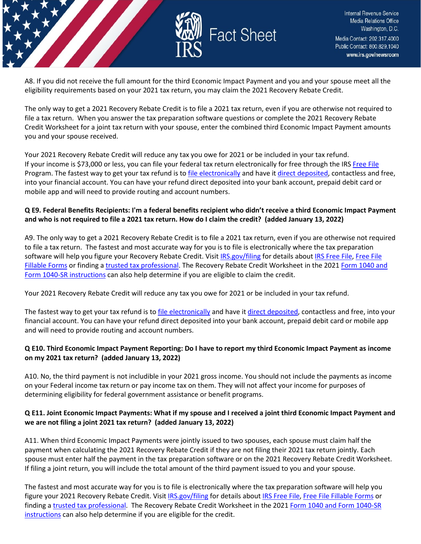

A8. If you did not receive the full amount for the third Economic Impact Payment and you and your spouse meet all the eligibility requirements based on your 2021 tax return, you may claim the 2021 Recovery Rebate Credit.

The only way to get a 2021 Recovery Rebate Credit is to file a 2021 tax return, even if you are otherwise not required to file a tax return. When you answer the tax preparation software questions or complete the 2021 Recovery Rebate Credit Worksheet for a joint tax return with your spouse, enter the combined third Economic Impact Payment amounts you and your spouse received.

Your 2021 Recovery Rebate Credit will reduce any tax you owe for 2021 or be included in your tax refund. If your income is \$73,000 or less, you can file your federal tax return electronically for free through the IRS [Free File](https://www.irs.gov/filing/free-file-do-your-federal-taxes-for-free) Program. The fastest way to get your tax refund is t[o file electronically](https://www.irs.gov/filing/e-file-options) and have it [direct deposited,](https://www.irs.gov/refunds/get-your-refund-faster-tell-irs-to-direct-deposit-your-refund-to-one-two-or-three-accounts) contactless and free, into your financial account. You can have your refund direct deposited into your bank account, prepaid debit card or mobile app and will need to provide routing and account numbers.

## **Q E9. Federal Benefits Recipients: I'm a federal benefits recipient who didn't receive a third Economic Impact Payment and who is not required to file a 2021 tax return. How do I claim the credit? (added January 13, 2022)**

A9. The only way to get a 2021 Recovery Rebate Credit is to file a 2021 tax return, even if you are otherwise not required to file a tax return. The fastest and most accurate way for you is to file is electronically where the tax preparation software will help you figure your Recovery Rebate Credit. Visi[t IRS.gov/filing](https://www.irs.gov/filing) for details about [IRS Free File,](https://www.irs.gov/filing/free-file-do-your-federal-taxes-for-free) Free File [Fillable Forms](https://www.irs.gov/e-file-providers/free-file-fillable-forms) or finding [a trusted tax professional.](https://www.irs.gov/tax-professionals/choosing-a-tax-professional) The Recovery Rebate Credit Worksheet in the 2021 [Form 1040 and](https://www.irs.gov/forms-pubs/about-form-1040)  [Form 1040-SR instructions](https://www.irs.gov/forms-pubs/about-form-1040) can also help determine if you are eligible to claim the credit.

Your 2021 Recovery Rebate Credit will reduce any tax you owe for 2021 or be included in your tax refund.

The fastest way to get your tax refund is to [file electronically](https://www.irs.gov/filing/e-file-options) and have i[t direct deposited,](https://www.irs.gov/refunds/get-your-refund-faster-tell-irs-to-direct-deposit-your-refund-to-one-two-or-three-accounts) contactless and free, into your financial account. You can have your refund direct deposited into your bank account, prepaid debit card or mobile app and will need to provide routing and account numbers.

## **Q E10. Third Economic Impact Payment Reporting: Do I have to report my third Economic Impact Payment as income on my 2021 tax return? (added January 13, 2022)**

A10. No, the third payment is not includible in your 2021 gross income. You should not include the payments as income on your Federal income tax return or pay income tax on them. They will not affect your income for purposes of determining eligibility for federal government assistance or benefit programs.

## **Q E11. Joint Economic Impact Payments: What if my spouse and I received a joint third Economic Impact Payment and we are not filing a joint 2021 tax return? (added January 13, 2022)**

A11. When third Economic Impact Payments were jointly issued to two spouses, each spouse must claim half the payment when calculating the 2021 Recovery Rebate Credit if they are not filing their 2021 tax return jointly. Each spouse must enter half the payment in the tax preparation software or on the 2021 Recovery Rebate Credit Worksheet. If filing a joint return, you will include the total amount of the third payment issued to you and your spouse.

The fastest and most accurate way for you is to file is electronically where the tax preparation software will help you figure your 2021 Recovery Rebate Credit. Visit [IRS.gov/filing](https://www.irs.gov/filing) for details abou[t IRS Free File,](https://www.irs.gov/filing/free-file-do-your-federal-taxes-for-free) [Free File Fillable Forms](https://www.irs.gov/e-file-providers/free-file-fillable-forms) or finding a [trusted tax professional.](https://www.irs.gov/tax-professionals/choosing-a-tax-professional) The Recovery Rebate Credit Worksheet in the 2021 [Form 1040 and Form 1040-SR](https://www.irs.gov/forms-pubs/about-form-1040)  [instructions](https://www.irs.gov/forms-pubs/about-form-1040) can also help determine if you are eligible for the credit.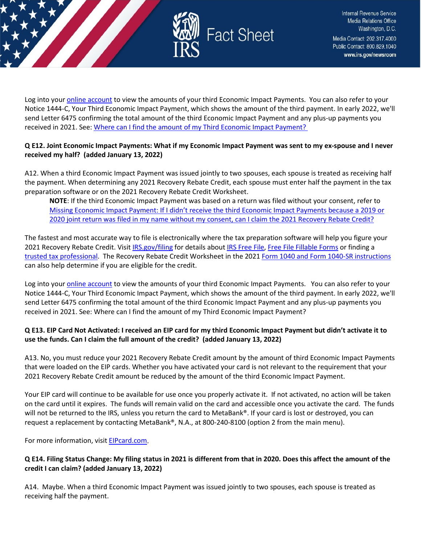

Log into your [online account](https://www.irs.gov/payments/your-online-account) to view the amounts of your third Economic Impact Payments. You can also refer to your Notice 1444-C, Your Third Economic Impact Payment, which shows the amount of the third payment. In early 2022, we'll send Letter 6475 confirming the total amount of the third Economic Impact Payment and any plus-up payments you received in 2021. See: [Where can I find the amount of my Third Economic Impact Payment?](https://www.irs.gov/newsroom/2021-recovery-rebate-credit-topic-d-claiming-the-2021-recovery-rebate-credit#q6) 

#### **Q E12. Joint Economic Impact Payments: What if my Economic Impact Payment was sent to my ex-spouse and I never received my half? (added January 13, 2022)**

A12. When a third Economic Impact Payment was issued jointly to two spouses, each spouse is treated as receiving half the payment. When determining any 2021 Recovery Rebate Credit, each spouse must enter half the payment in the tax preparation software or on the 2021 Recovery Rebate Credit Worksheet.

**NOTE**: If the third Economic Impact Payment was based on a return was filed without your consent, refer to [Missing Economic Impact Payment: If I didn't receive the third Economic Impact Payments because a 2019 or](file:///C:%5CUsers%5CV0HBB%5CAppData%5CLocal%5CMicrosoft%5CWindows%5CINetCache%5CContent.Outlook%5CVOS5EG3Y%5CMissing%20Economic%20Impact%20Payment:%20If%20I%20didn)  [2020 joint return was filed in my name without my consent, can I claim the 2021 Recovery Rebate Credit?](file:///C:%5CUsers%5CV0HBB%5CAppData%5CLocal%5CMicrosoft%5CWindows%5CINetCache%5CContent.Outlook%5CVOS5EG3Y%5CMissing%20Economic%20Impact%20Payment:%20If%20I%20didn) 

The fastest and most accurate way to file is electronically where the tax preparation software will help you figure your 2021 Recovery Rebate Credit. Visit [IRS.gov/filing](https://www.irs.gov/filing) for details about [IRS Free File,](https://www.irs.gov/filing/free-file-do-your-federal-taxes-for-free) [Free File Fillable Forms](https://www.irs.gov/e-file-providers/free-file-fillable-forms) or finding a [trusted tax professional.](https://www.irs.gov/tax-professionals/choosing-a-tax-professional) The Recovery Rebate Credit Worksheet in the 2021 [Form 1040 and Form 1040-SR instructions](https://www.irs.gov/forms-pubs/about-form-1040) can also help determine if you are eligible for the credit.

Log into your [online account](https://www.irs.gov/payments/your-online-account) to view the amounts of your third Economic Impact Payments. You can also refer to your Notice 1444-C, Your Third Economic Impact Payment, which shows the amount of the third payment. In early 2022, we'll send Letter 6475 confirming the total amount of the third Economic Impact Payment and any plus-up payments you received in 2021. See: Where can I find the amount of my Third Economic Impact Payment?

## **Q E13. EIP Card Not Activated: I received an EIP card for my third Economic Impact Payment but didn't activate it to use the funds. Can I claim the full amount of the credit? (added January 13, 2022)**

A13. No, you must reduce your 2021 Recovery Rebate Credit amount by the amount of third Economic Impact Payments that were loaded on the EIP cards. Whether you have activated your card is not relevant to the requirement that your 2021 Recovery Rebate Credit amount be reduced by the amount of the third Economic Impact Payment.

Your EIP card will continue to be available for use once you properly activate it. If not activated, no action will be taken on the card until it expires. The funds will remain valid on the card and accessible once you activate the card. The funds will not be returned to the IRS, unless you return the card to MetaBank®. If your card is lost or destroyed, you can request a replacement by contacting MetaBank®, N.A., at 800-240-8100 (option 2 from the main menu).

For more information, visi[t EIPcard.com.](https://www.eipcard.com/)

## **Q E14. Filing Status Change: My filing status in 2021 is different from that in 2020. Does this affect the amount of the credit I can claim? (added January 13, 2022)**

A14. Maybe. When a third Economic Impact Payment was issued jointly to two spouses, each spouse is treated as receiving half the payment.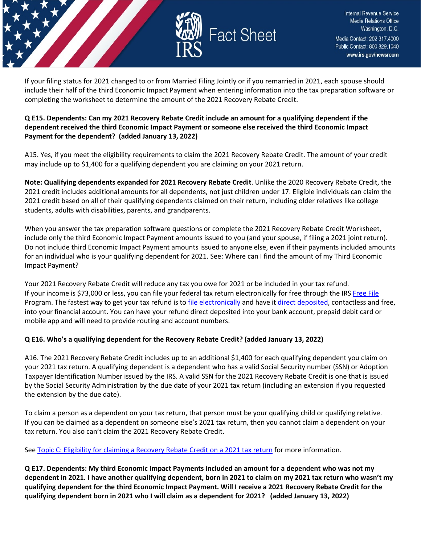

If your filing status for 2021 changed to or from Married Filing Jointly or if you remarried in 2021, each spouse should include their half of the third Economic Impact Payment when entering information into the tax preparation software or completing the worksheet to determine the amount of the 2021 Recovery Rebate Credit.

## **Q E15. Dependents: Can my 2021 Recovery Rebate Credit include an amount for a qualifying dependent if the dependent received the third Economic Impact Payment or someone else received the third Economic Impact Payment for the dependent? (added January 13, 2022)**

A15. Yes, if you meet the eligibility requirements to claim the 2021 Recovery Rebate Credit. The amount of your credit may include up to \$1,400 for a qualifying dependent you are claiming on your 2021 return.

**Note: Qualifying dependents expanded for 2021 Recovery Rebate Credit**. Unlike the 2020 Recovery Rebate Credit, the 2021 credit includes additional amounts for all dependents, not just children under 17. Eligible individuals can claim the 2021 credit based on all of their qualifying dependents claimed on their return, including older relatives like college students, adults with disabilities, parents, and grandparents.

When you answer the tax preparation software questions or complete the 2021 Recovery Rebate Credit Worksheet, include only the third Economic Impact Payment amounts issued to you (and your spouse, if filing a 2021 joint return). Do not include third Economic Impact Payment amounts issued to anyone else, even if their payments included amounts for an individual who is your qualifying dependent for 2021. See: Where can I find the amount of my Third Economic Impact Payment?

Your 2021 Recovery Rebate Credit will reduce any tax you owe for 2021 or be included in your tax refund. If your income is \$73,000 or less, you can file your federal tax return electronically for free through the IRS [Free File](https://www.irs.gov/filing/free-file-do-your-federal-taxes-for-free) Program. The fastest way to get your tax refund is t[o file electronically](https://www.irs.gov/filing/e-file-options) and have it [direct deposited,](https://www.irs.gov/refunds/get-your-refund-faster-tell-irs-to-direct-deposit-your-refund-to-one-two-or-three-accounts) contactless and free, into your financial account. You can have your refund direct deposited into your bank account, prepaid debit card or mobile app and will need to provide routing and account numbers.

## **Q E16. Who's a qualifying dependent for the Recovery Rebate Credit? (added January 13, 2022)**

A16. The 2021 Recovery Rebate Credit includes up to an additional \$1,400 for each qualifying dependent you claim on your 2021 tax return. A qualifying dependent is a dependent who has a valid Social Security number (SSN) or Adoption Taxpayer Identification Number issued by the IRS. A valid SSN for the 2021 Recovery Rebate Credit is one that is issued by the Social Security Administration by the due date of your 2021 tax return (including an extension if you requested the extension by the due date).

To claim a person as a dependent on your tax return, that person must be your qualifying child or qualifying relative. If you can be claimed as a dependent on someone else's 2021 tax return, then you cannot claim a dependent on your tax return. You also can't claim the 2021 Recovery Rebate Credit.

Se[e Topic C: Eligibility for claiming a Recovery Rebate Credit on a 2021 tax return](https://www.irs.gov/newsroom/2021-recovery-rebate-credit-topic-c-eligibility-for-claiming-a-recovery-rebate-credit-on-a-2021-tax-return) for more information.

**Q E17. Dependents: My third Economic Impact Payments included an amount for a dependent who was not my dependent in 2021. I have another qualifying dependent, born in 2021 to claim on my 2021 tax return who wasn't my qualifying dependent for the third Economic Impact Payment. Will I receive a 2021 Recovery Rebate Credit for the qualifying dependent born in 2021 who I will claim as a dependent for 2021? (added January 13, 2022)**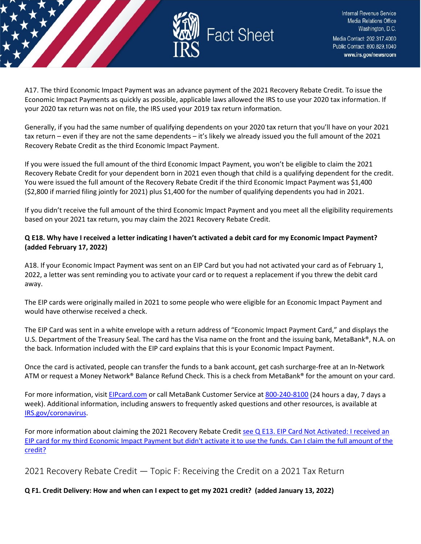

A17. The third Economic Impact Payment was an advance payment of the 2021 Recovery Rebate Credit. To issue the Economic Impact Payments as quickly as possible, applicable laws allowed the IRS to use your 2020 tax information. If your 2020 tax return was not on file, the IRS used your 2019 tax return information.

Generally, if you had the same number of qualifying dependents on your 2020 tax return that you'll have on your 2021 tax return – even if they are not the same dependents – it's likely we already issued you the full amount of the 2021 Recovery Rebate Credit as the third Economic Impact Payment.

If you were issued the full amount of the third Economic Impact Payment, you won't be eligible to claim the 2021 Recovery Rebate Credit for your dependent born in 2021 even though that child is a qualifying dependent for the credit. You were issued the full amount of the Recovery Rebate Credit if the third Economic Impact Payment was \$1,400 (\$2,800 if married filing jointly for 2021) plus \$1,400 for the number of qualifying dependents you had in 2021.

If you didn't receive the full amount of the third Economic Impact Payment and you meet all the eligibility requirements based on your 2021 tax return, you may claim the 2021 Recovery Rebate Credit.

## **Q E18. Why have I received a letter indicating I haven't activated a debit card for my Economic Impact Payment? (added February 17, 2022)**

A18. If your Economic Impact Payment was sent on an EIP Card but you had not activated your card as of February 1, 2022, a letter was sent reminding you to activate your card or to request a replacement if you threw the debit card away.

The EIP cards were originally mailed in 2021 to some people who were eligible for an Economic Impact Payment and would have otherwise received a check.

The EIP Card was sent in a white envelope with a return address of "Economic Impact Payment Card," and displays the U.S. Department of the Treasury Seal. The card has the Visa name on the front and the issuing bank, MetaBank®, N.A. on the back. Information included with the EIP card explains that this is your Economic Impact Payment.

Once the card is activated, people can transfer the funds to a bank account, get cash surcharge-free at an In-Network ATM or request a Money Network® Balance Refund Check. This is a check from MetaBank® for the amount on your card.

For more information, visi[t EIPcard.com](https://www.eipcard.com/) or call MetaBank Customer Service at [800-240-8100](tel:800-240-8100) (24 hours a day, 7 days a week). Additional information, including answers to frequently asked questions and other resources, is available at [IRS.gov/coronavirus.](https://www.irs.gov/coronavirus-tax-relief-and-economic-impact-payments)

For more information about claiming the 2021 Recovery Rebate Credit [see Q E13. EIP Card Not Activated: I received an](https://www.irs.gov/newsroom/2021-recovery-rebate-credit-topic-e-calculating-the-2021-recovery-rebate-credit#collapseCollapsible1644332084265)  [EIP card for my third Economic Impact Payment but didn't activate it to use the funds. Can I claim the full amount of the](https://www.irs.gov/newsroom/2021-recovery-rebate-credit-topic-e-calculating-the-2021-recovery-rebate-credit#collapseCollapsible1644332084265)  [credit?](https://www.irs.gov/newsroom/2021-recovery-rebate-credit-topic-e-calculating-the-2021-recovery-rebate-credit#collapseCollapsible1644332084265)

<span id="page-22-0"></span>2021 Recovery Rebate Credit — Topic F: Receiving the Credit on a 2021 Tax Return

**Q F1. Credit Delivery: How and when can I expect to get my 2021 credit? (added January 13, 2022)**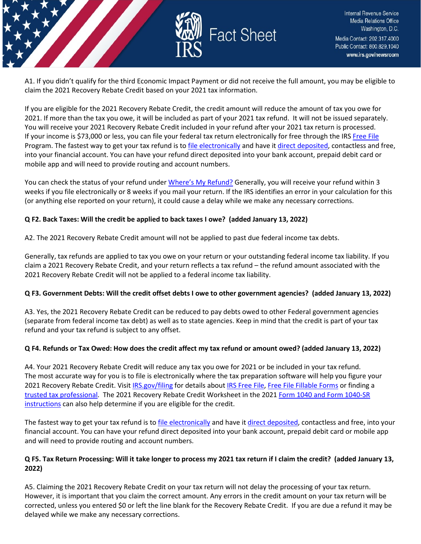

A1. If you didn't qualify for the third Economic Impact Payment or did not receive the full amount, you may be eligible to claim the 2021 Recovery Rebate Credit based on your 2021 tax information.

If you are eligible for the 2021 Recovery Rebate Credit, the credit amount will reduce the amount of tax you owe for 2021. If more than the tax you owe, it will be included as part of your 2021 tax refund. It will not be issued separately. You will receive your 2021 Recovery Rebate Credit included in your refund after your 2021 tax return is processed. If your income is \$73,000 or less, you can file your federal tax return electronically for free through the IRS [Free File](https://www.irs.gov/filing/free-file-do-your-federal-taxes-for-free) Program. The fastest way to get your tax refund is t[o file electronically](https://www.irs.gov/filing/e-file-options) and have it [direct deposited,](https://www.irs.gov/refunds/get-your-refund-faster-tell-irs-to-direct-deposit-your-refund-to-one-two-or-three-accounts) contactless and free, into your financial account. You can have your refund direct deposited into your bank account, prepaid debit card or mobile app and will need to provide routing and account numbers.

You can check the status of your refund unde[r Where's My Refund?](https://www.irs.gov/refunds) Generally, you will receive your refund within 3 weeks if you file electronically or 8 weeks if you mail your return. If the IRS identifies an error in your calculation for this (or anything else reported on your return), it could cause a delay while we make any necessary corrections.

#### **Q F2. Back Taxes: Will the credit be applied to back taxes I owe? (added January 13, 2022)**

A2. The 2021 Recovery Rebate Credit amount will not be applied to past due federal income tax debts.

Generally, tax refunds are applied to tax you owe on your return or your outstanding federal income tax liability. If you claim a 2021 Recovery Rebate Credit, and your return reflects a tax refund – the refund amount associated with the 2021 Recovery Rebate Credit will not be applied to a federal income tax liability.

## **Q F3. Government Debts: Will the credit offset debts I owe to other government agencies? (added January 13, 2022)**

A3. Yes, the 2021 Recovery Rebate Credit can be reduced to pay debts owed to other Federal government agencies (separate from federal income tax debt) as well as to state agencies. Keep in mind that the credit is part of your tax refund and your tax refund is subject to any offset.

#### **Q F4. Refunds or Tax Owed: How does the credit affect my tax refund or amount owed? (added January 13, 2022)**

A4. Your 2021 Recovery Rebate Credit will reduce any tax you owe for 2021 or be included in your tax refund. The most accurate way for you is to file is electronically where the tax preparation software will help you figure your 2021 Recovery Rebate Credit. Visit [IRS.gov/filing](https://www.irs.gov/filing) for details about [IRS Free File,](https://www.irs.gov/filing/free-file-do-your-federal-taxes-for-free) [Free File Fillable Forms](https://www.irs.gov/e-file-providers/free-file-fillable-forms) or finding a [trusted tax professional.](https://www.irs.gov/tax-professionals/choosing-a-tax-professional) The 2021 Recovery Rebate Credit Worksheet in the 202[1 Form 1040 and Form 1040-SR](https://www.irs.gov/forms-pubs/about-form-1040)  [instructions](https://www.irs.gov/forms-pubs/about-form-1040) can also help determine if you are eligible for the credit.

The fastest way to get your tax refund is to [file electronically](https://www.irs.gov/filing/e-file-options) and have i[t direct deposited,](https://www.irs.gov/refunds/get-your-refund-faster-tell-irs-to-direct-deposit-your-refund-to-one-two-or-three-accounts) contactless and free, into your financial account. You can have your refund direct deposited into your bank account, prepaid debit card or mobile app and will need to provide routing and account numbers.

## **Q F5. Tax Return Processing: Will it take longer to process my 2021 tax return if I claim the credit? (added January 13, 2022)**

A5. Claiming the 2021 Recovery Rebate Credit on your tax return will not delay the processing of your tax return. However, it is important that you claim the correct amount. Any errors in the credit amount on your tax return will be corrected, unless you entered \$0 or left the line blank for the Recovery Rebate Credit. If you are due a refund it may be delayed while we make any necessary corrections.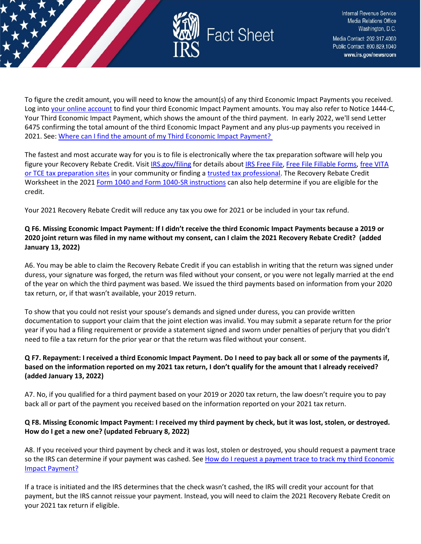

To figure the credit amount, you will need to know the amount(s) of any third Economic Impact Payments you received. Log into [your online account](https://www.irs.gov/payments/your-online-account) to find your third Economic Impact Payment amounts. You may also refer to Notice 1444-C, Your Third Economic Impact Payment, which shows the amount of the third payment. In early 2022, we'll send Letter 6475 confirming the total amount of the third Economic Impact Payment and any plus-up payments you received in 2021. See: [Where can I find the amount of my Third Economic Impact Payment?](https://www.irs.gov/newsroom/2021-recovery-rebate-credit-topic-g-finding-the-third-economic-impact-payment-amount-to-calculate-the-2021-recovery-rebate-credit#q2) 

The fastest and most accurate way for you is to file is electronically where the tax preparation software will help you figure your Recovery Rebate Credit. Visi[t IRS.gov/filing](https://www.irs.gov/filing) for details about [IRS Free File,](https://www.irs.gov/filing/free-file-do-your-federal-taxes-for-free) [Free File Fillable Forms,](https://www.irs.gov/e-file-providers/free-file-fillable-forms) [free VITA](https://www.irs.gov/node/9295)  [or TCE tax preparation sites](https://www.irs.gov/node/9295) in your community or finding a [trusted tax professional.](https://www.irs.gov/tax-professionals/choosing-a-tax-professional) The Recovery Rebate Credit Worksheet in the 202[1 Form 1040 and Form 1040-SR instructions](https://www.irs.gov/forms-pubs/about-form-1040) can also help determine if you are eligible for the credit.

Your 2021 Recovery Rebate Credit will reduce any tax you owe for 2021 or be included in your tax refund.

## **Q F6. Missing Economic Impact Payment: If I didn't receive the third Economic Impact Payments because a 2019 or 2020 joint return was filed in my name without my consent, can I claim the 2021 Recovery Rebate Credit? (added January 13, 2022)**

A6. You may be able to claim the Recovery Rebate Credit if you can establish in writing that the return was signed under duress, your signature was forged, the return was filed without your consent, or you were not legally married at the end of the year on which the third payment was based. We issued the third payments based on information from your 2020 tax return, or, if that wasn't available, your 2019 return.

To show that you could not resist your spouse's demands and signed under duress, you can provide written documentation to support your claim that the joint election was invalid. You may submit a separate return for the prior year if you had a filing requirement or provide a statement signed and sworn under penalties of perjury that you didn't need to file a tax return for the prior year or that the return was filed without your consent.

## **Q F7. Repayment: I received a third Economic Impact Payment. Do I need to pay back all or some of the payments if, based on the information reported on my 2021 tax return, I don't qualify for the amount that I already received? (added January 13, 2022)**

A7. No, if you qualified for a third payment based on your 2019 or 2020 tax return, the law doesn't require you to pay back all or part of the payment you received based on the information reported on your 2021 tax return.

## **Q F8. Missing Economic Impact Payment: I received my third payment by check, but it was lost, stolen, or destroyed. How do I get a new one? (updated February 8, 2022)**

A8. If you received your third payment by check and it was lost, stolen or destroyed, you should request a payment trace so the IRS can determine if your payment was cashed. See How do I request a payment trace to track my third Economic [Impact Payment?](https://www.irs.gov/newsroom/questions-and-answers-about-the-third-economic-impact-payment-topic-j-payment-issued-but-lost-stolen-destroyed-or-not-received#howdoitrack)

If a trace is initiated and the IRS determines that the check wasn't cashed, the IRS will credit your account for that payment, but the IRS cannot reissue your payment. Instead, you will need to claim the 2021 Recovery Rebate Credit on your 2021 tax return if eligible.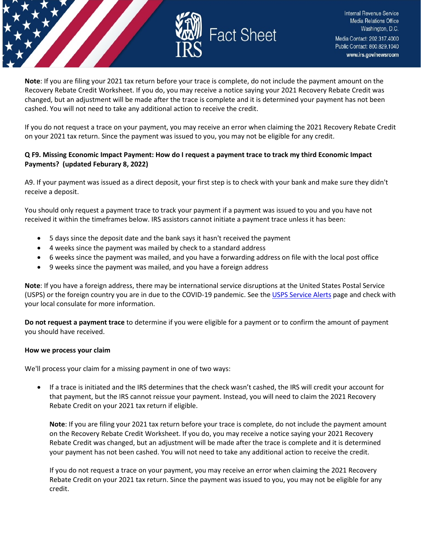

**Note**: If you are filing your 2021 tax return before your trace is complete, do not include the payment amount on the Recovery Rebate Credit Worksheet. If you do, you may receive a notice saying your 2021 Recovery Rebate Credit was changed, but an adjustment will be made after the trace is complete and it is determined your payment has not been cashed. You will not need to take any additional action to receive the credit.

If you do not request a trace on your payment, you may receive an error when claiming the 2021 Recovery Rebate Credit on your 2021 tax return. Since the payment was issued to you, you may not be eligible for any credit.

## **Q F9. Missing Economic Impact Payment: How do I request a payment trace to track my third Economic Impact Payments? (updated Feburary 8, 2022)**

A9. If your payment was issued as a direct deposit, your first step is to check with your bank and make sure they didn't receive a deposit.

You should only request a payment trace to track your payment if a payment was issued to you and you have not received it within the timeframes below. IRS assistors cannot initiate a payment trace unless it has been:

- 5 days since the deposit date and the bank says it hasn't received the payment
- 4 weeks since the payment was mailed by check to a standard address
- 6 weeks since the payment was mailed, and you have a forwarding address on file with the local post office
- 9 weeks since the payment was mailed, and you have a foreign address

**Note**: If you have a foreign address, there may be international service disruptions at the United States Postal Service (USPS) or the foreign country you are in due to the COVID-19 pandemic. See the [USPS Service Alerts](https://about.usps.com/newsroom/service-alerts/) page and check with your local consulate for more information.

**Do not request a payment trace** to determine if you were eligible for a payment or to confirm the amount of payment you should have received.

#### **How we process your claim**

We'll process your claim for a missing payment in one of two ways:

• If a trace is initiated and the IRS determines that the check wasn't cashed, the IRS will credit your account for that payment, but the IRS cannot reissue your payment. Instead, you will need to claim the 2021 Recovery Rebate Credit on your 2021 tax return if eligible.

**Note**: If you are filing your 2021 tax return before your trace is complete, do not include the payment amount on the Recovery Rebate Credit Worksheet. If you do, you may receive a notice saying your 2021 Recovery Rebate Credit was changed, but an adjustment will be made after the trace is complete and it is determined your payment has not been cashed. You will not need to take any additional action to receive the credit.

If you do not request a trace on your payment, you may receive an error when claiming the 2021 Recovery Rebate Credit on your 2021 tax return. Since the payment was issued to you, you may not be eligible for any credit.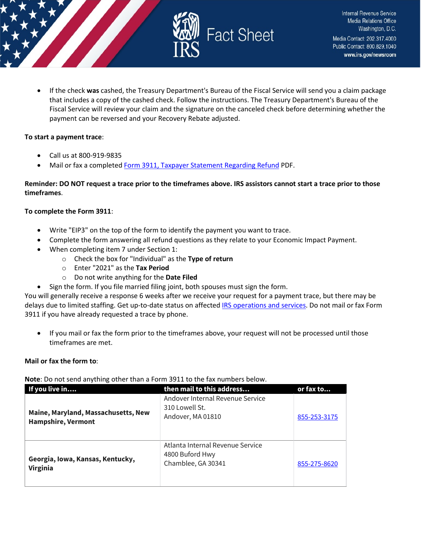

• If the check **was** cashed, the Treasury Department's Bureau of the Fiscal Service will send you a claim package that includes a copy of the cashed check. Follow the instructions. The Treasury Department's Bureau of the Fiscal Service will review your claim and the signature on the canceled check before determining whether the payment can be reversed and your Recovery Rebate adjusted.

#### **To start a payment trace**:

- Call us at 800-919-9835
- Mail or fax a complete[d Form 3911, Taxpayer Statement Regarding Refund](https://www.irs.gov/pub/irs-pdf/f3911.pdf) PDF.

## **Reminder: DO NOT request a trace prior to the timeframes above. IRS assistors cannot start a trace prior to those timeframes**.

## **To complete the Form 3911**:

- Write "EIP3" on the top of the form to identify the payment you want to trace.
- Complete the form answering all refund questions as they relate to your Economic Impact Payment.
- When completing item 7 under Section 1:
	- o Check the box for "Individual" as the **Type of return**
	- o Enter "2021" as the **Tax Period**
	- o Do not write anything for the **Date Filed**
	- Sign the form. If you file married filing joint, both spouses must sign the form.

You will generally receive a response 6 weeks after we receive your request for a payment trace, but there may be delays due to limited staffing. Get up-to-date status on affected [IRS operations and services.](https://www.irs.gov/newsroom/irs-operations-during-covid-19-mission-critical-functions-continue) Do not mail or fax Form 3911 if you have already requested a trace by phone.

• If you mail or fax the form prior to the timeframes above, your request will not be processed until those timeframes are met.

## **Mail or fax the form to**:

**Note**: Do not send anything other than a Form 3911 to the fax numbers below.

| If you live in                                                   | then mail to this address                                                 | or fax to    |
|------------------------------------------------------------------|---------------------------------------------------------------------------|--------------|
| Maine, Maryland, Massachusetts, New<br><b>Hampshire, Vermont</b> | Andover Internal Revenue Service<br>310 Lowell St.<br>Andover, MA 01810   | 855-253-3175 |
| Georgia, Iowa, Kansas, Kentucky,<br><b>Virginia</b>              | Atlanta Internal Revenue Service<br>4800 Buford Hwy<br>Chamblee, GA 30341 | 855-275-8620 |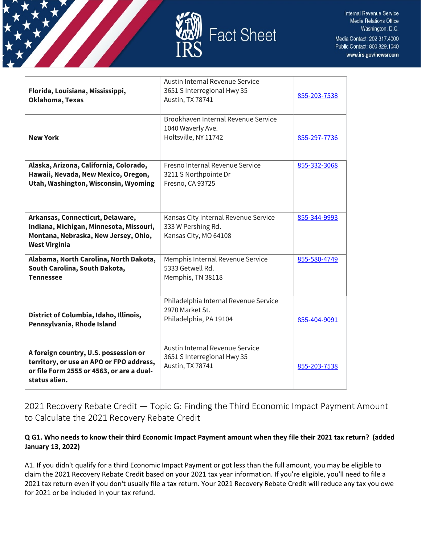



| Florida, Louisiana, Mississippi,<br>Oklahoma, Texas                                                                                             | Austin Internal Revenue Service<br>3651 S Interregional Hwy 35<br>Austin, TX 78741  | 855-203-7538 |
|-------------------------------------------------------------------------------------------------------------------------------------------------|-------------------------------------------------------------------------------------|--------------|
| <b>New York</b>                                                                                                                                 | Brookhaven Internal Revenue Service<br>1040 Waverly Ave.<br>Holtsville, NY 11742    | 855-297-7736 |
| Alaska, Arizona, California, Colorado,<br>Hawaii, Nevada, New Mexico, Oregon,<br>Utah, Washington, Wisconsin, Wyoming                           | Fresno Internal Revenue Service<br>3211 S Northpointe Dr<br>Fresno, CA 93725        | 855-332-3068 |
| Arkansas, Connecticut, Delaware,<br>Indiana, Michigan, Minnesota, Missouri,<br>Montana, Nebraska, New Jersey, Ohio,<br><b>West Virginia</b>     | Kansas City Internal Revenue Service<br>333 W Pershing Rd.<br>Kansas City, MO 64108 | 855-344-9993 |
| Alabama, North Carolina, North Dakota,<br>South Carolina, South Dakota,<br><b>Tennessee</b>                                                     | Memphis Internal Revenue Service<br>5333 Getwell Rd.<br>Memphis, TN 38118           | 855-580-4749 |
| District of Columbia, Idaho, Illinois,<br>Pennsylvania, Rhode Island                                                                            | Philadelphia Internal Revenue Service<br>2970 Market St.<br>Philadelphia, PA 19104  | 855-404-9091 |
| A foreign country, U.S. possession or<br>territory, or use an APO or FPO address,<br>or file Form 2555 or 4563, or are a dual-<br>status alien. | Austin Internal Revenue Service<br>3651 S Interregional Hwy 35<br>Austin, TX 78741  | 855-203-7538 |

<span id="page-27-0"></span>2021 Recovery Rebate Credit — Topic G: Finding the Third Economic Impact Payment Amount to Calculate the 2021 Recovery Rebate Credit

## **Q G1. Who needs to know their third Economic Impact Payment amount when they file their 2021 tax return? (added January 13, 2022)**

A1. If you didn't qualify for a third Economic Impact Payment or got less than the full amount, you may be eligible to claim the 2021 Recovery Rebate Credit based on your 2021 tax year information. If you're eligible, you'll need to file a 2021 tax return even if you don't usually file a tax return. Your 2021 Recovery Rebate Credit will reduce any tax you owe for 2021 or be included in your tax refund.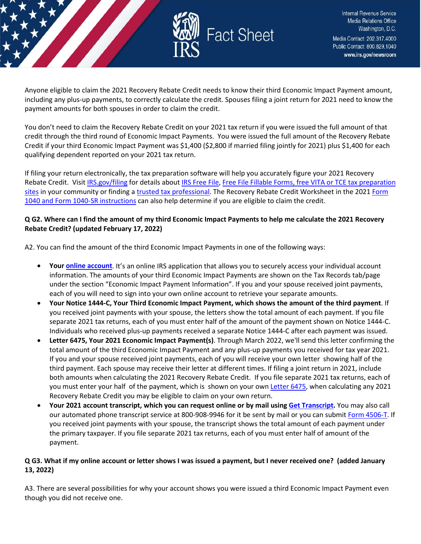

Anyone eligible to claim the 2021 Recovery Rebate Credit needs to know their third Economic Impact Payment amount, including any plus-up payments, to correctly calculate the credit. Spouses filing a joint return for 2021 need to know the payment amounts for both spouses in order to claim the credit.

You don't need to claim the Recovery Rebate Credit on your 2021 tax return if you were issued the full amount of that credit through the third round of Economic Impact Payments. You were issued the full amount of the Recovery Rebate Credit if your third Economic Impact Payment was \$1,400 (\$2,800 if married filing jointly for 2021) plus \$1,400 for each qualifying dependent reported on your 2021 tax return.

If filing your return electronically, the tax preparation software will help you accurately figure your 2021 Recovery Rebate Credit. Visit [IRS.gov/filing](https://www.irs.gov/filing) for details about [IRS Free File,](https://www.irs.gov/filing/free-file-do-your-federal-taxes-for-free) [Free File Fillable Forms](https://www.irs.gov/e-file-providers/free-file-fillable-forms)[, free VITA or TCE tax preparation](https://www.irs.gov/individuals/irs-free-tax-return-preparation-programs)  [sites](https://www.irs.gov/individuals/irs-free-tax-return-preparation-programs) in your community or finding a [trusted tax professional.](https://www.irs.gov/tax-professionals/choosing-a-tax-professional) The Recovery Rebate Credit Worksheet in the 2021 Form [1040 and Form 1040-SR instructions](https://www.irs.gov/forms-pubs/about-form-1040) can also help determine if you are eligible to claim the credit.

## **Q G2. Where can I find the amount of my third Economic Impact Payments to help me calculate the 2021 Recovery Rebate Credit? (updated February 17, 2022)**

A2. You can find the amount of the third Economic Impact Payments in one of the following ways:

- **Your [online account](https://www.irs.gov/payments/your-online-account)**. It's an online IRS application that allows you to securely access your individual account information. The amounts of your third Economic Impact Payments are shown on the Tax Records tab/page under the section "Economic Impact Payment Information". If you and your spouse received joint payments, each of you will need to sign into your own online account to retrieve your separate amounts.
- **Your Notice 1444-C, Your Third Economic Impact Payment, which shows the amount of the third payment**. If you received joint payments with your spouse, the letters show the total amount of each payment. If you file separate 2021 tax returns, each of you must enter half of the amount of the payment shown on Notice 1444-C. Individuals who received plus-up payments received a separate Notice 1444-C after each payment was issued.
- **Letter 6475, Your 2021 Economic Impact Payment(s)**. Through March 2022, we'll send this letter confirming the total amount of the third Economic Impact Payment and any plus-up payments you received for tax year 2021. If you and your spouse received joint payments, each of you will receive your own letter showing half of the third payment. Each spouse may receive their letter at different times. If filing a joint return in 2021, include both amounts when calculating the 2021 Recovery Rebate Credit. If you file separate 2021 tax returns, each of you must enter your half of the payment, which is shown on your ow[n Letter 6475,](https://www.irs.gov/individuals/understanding-your-letter-6475) when calculating any 2021 Recovery Rebate Credit you may be eligible to claim on your own return.
- **Your 2021 account transcript, which you can request online or by mail using [Get Transcript.](https://www.irs.gov/individuals/get-transcript)** You may also call our automated phone transcript service at 800-908-9946 for it be sent by mail or you can submit [Form 4506-T.](https://www.irs.gov/forms-pubs/about-form-4506-t) If you received joint payments with your spouse, the transcript shows the total amount of each payment under the primary taxpayer. If you file separate 2021 tax returns, each of you must enter half of amount of the payment.

## **Q G3. What if my online account or letter shows I was issued a payment, but I never received one? (added January 13, 2022)**

A3. There are several possibilities for why your account shows you were issued a third Economic Impact Payment even though you did not receive one.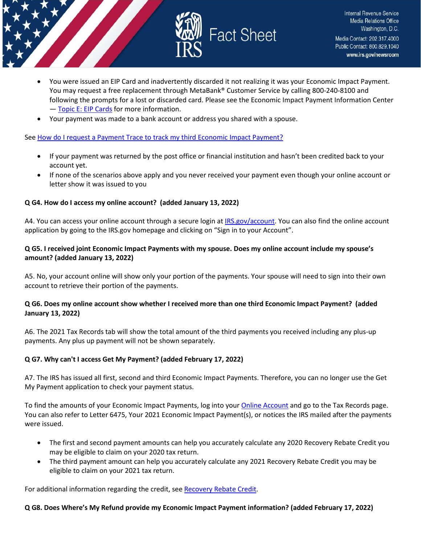

- You were issued an EIP Card and inadvertently discarded it not realizing it was your Economic Impact Payment. You may request a free replacement through MetaBank® Customer Service by calling 800-240-8100 and following the prompts for a lost or discarded card. Please see the Economic Impact Payment Information Center - [Topic E: EIP Cards](https://www.irs.gov/newsroom/questions-and-answers-about-the-first-economic-impact-payment-topic-e-eip-cards) for more information.
- Your payment was made to a bank account or address you shared with a spouse.

#### Se[e How do I request a Payment Trace to track my third Economic Impact Payment?](https://www.irs.gov/newsroom/questions-and-answers-about-the-third-economic-impact-payment-topic-j-payment-issued-but-lost-stolen-destroyed-or-not-received)

- If your payment was returned by the post office or financial institution and hasn't been credited back to your account yet.
- If none of the scenarios above apply and you never received your payment even though your online account or letter show it was issued to you

## **Q G4. How do I access my online account? (added January 13, 2022)**

A4. You can access your online account through a secure login at [IRS.gov/account.](https://www.irs.gov/payments/your-online-account) You can also find the online account application by going to the IRS.gov homepage and clicking on "Sign in to your Account".

#### **Q G5. I received joint Economic Impact Payments with my spouse. Does my online account include my spouse's amount? (added January 13, 2022)**

A5. No, your account online will show only your portion of the payments. Your spouse will need to sign into their own account to retrieve their portion of the payments.

## **Q G6. Does my online account show whether I received more than one third Economic Impact Payment? (added January 13, 2022)**

A6. The 2021 Tax Records tab will show the total amount of the third payments you received including any plus-up payments. Any plus up payment will not be shown separately.

## **Q G7. Why can't I access Get My Payment? (added February 17, 2022)**

A7. The IRS has issued all first, second and third Economic Impact Payments. Therefore, you can no longer use the Get My Payment application to check your payment status.

To find the amounts of your Economic Impact Payments, log into your [Online Account](https://www.irs.gov/payments/your-online-account) and go to the Tax Records page. You can also refer to Letter 6475, Your 2021 Economic Impact Payment(s), or notices the IRS mailed after the payments were issued.

- The first and second payment amounts can help you accurately calculate any 2020 Recovery Rebate Credit you may be eligible to claim on your 2020 tax return.
- The third payment amount can help you accurately calculate any 2021 Recovery Rebate Credit you may be eligible to claim on your 2021 tax return.

For additional information regarding the credit, see [Recovery Rebate Credit.](https://www.irs.gov/newsroom/recovery-rebate-credit)

## **Q G8. Does Where's My Refund provide my Economic Impact Payment information? (added February 17, 2022)**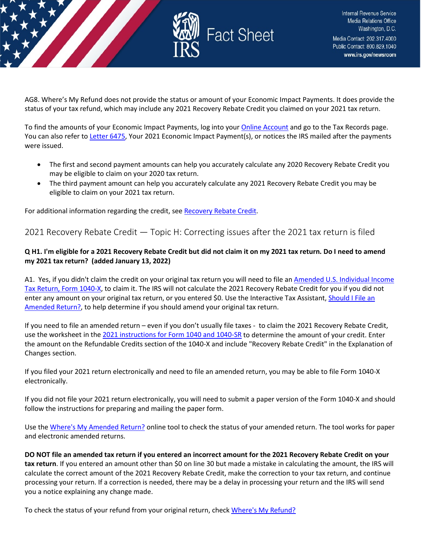

AG8. Where's My Refund does not provide the status or amount of your Economic Impact Payments. It does provide the status of your tax refund, which may include any 2021 Recovery Rebate Credit you claimed on your 2021 tax return.

To find the amounts of your Economic Impact Payments, log into your [Online Account](https://www.irs.gov/payments/your-online-account) and go to the Tax Records page. You can also refer to [Letter 6475,](https://www.irs.gov/individuals/understanding-your-letter-6475) Your 2021 Economic Impact Payment(s), or notices the IRS mailed after the payments were issued.

- The first and second payment amounts can help you accurately calculate any 2020 Recovery Rebate Credit you may be eligible to claim on your 2020 tax return.
- The third payment amount can help you accurately calculate any 2021 Recovery Rebate Credit you may be eligible to claim on your 2021 tax return.

For additional information regarding the credit, see [Recovery Rebate Credit.](https://www.irs.gov/newsroom/recovery-rebate-credit)

## <span id="page-30-0"></span>2021 Recovery Rebate Credit — Topic H: Correcting issues after the 2021 tax return is filed

## **Q H1. I'm eligible for a 2021 Recovery Rebate Credit but did not claim it on my 2021 tax return. Do I need to amend my 2021 tax return? (added January 13, 2022)**

A1. Yes, if you didn't claim the credit on your original tax return you will need to file an [Amended U.S. Individual Income](https://www.irs.gov/forms-pubs/about-form-1040x)  [Tax Return, Form 1040-X,](https://www.irs.gov/forms-pubs/about-form-1040x) to claim it. The IRS will not calculate the 2021 Recovery Rebate Credit for you if you did not enter any amount on your original tax return, or you entered \$0. Use the Interactive Tax Assistant, Should I File an [Amended](https://www.irs.gov/help/ita/should-i-file-an-amended-return) Return?, to help determine if you should amend your original tax return.

If you need to file an amended return – even if you don't usually file taxes - to claim the 2021 Recovery Rebate Credit, use the worksheet in the [2021 instructions for Form 1040 and 1040-SR](https://www.irs.gov/forms-pubs/about-form-1040) to determine the amount of your credit. Enter the amount on the Refundable Credits section of the 1040-X and include "Recovery Rebate Credit" in the Explanation of Changes section.

If you filed your 2021 return electronically and need to file an amended return, you may be able to file Form 1040-X electronically.

If you did not file your 2021 return electronically, you will need to submit a paper version of the Form 1040-X and should follow the instructions for preparing and mailing the paper form.

Use th[e Where's My Amended Return?](https://www.irs.gov/filing/wheres-my-amended-return) online tool to check the status of your amended return. The tool works for paper and electronic amended returns.

**DO NOT file an amended tax return if you entered an incorrect amount for the 2021 Recovery Rebate Credit on your tax return**. If you entered an amount other than \$0 on line 30 but made a mistake in calculating the amount, the IRS will calculate the correct amount of the 2021 Recovery Rebate Credit, make the correction to your tax return, and continue processing your return. If a correction is needed, there may be a delay in processing your return and the IRS will send you a notice explaining any change made.

To check the status of your refund from your original return, chec[k Where's My Refund?](https://www.irs.gov/refunds)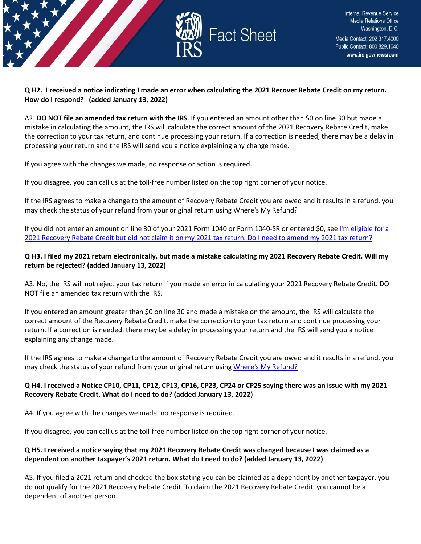

### **Q H2. I received a notice indicating I made an error when calculating the 2021 Recover Rebate Credit on my return. How do I respond? (added January 13, 2022)**

A2. **DO NOT file an amended tax return with the IRS**. If you entered an amount other than \$0 on line 30 but made a mistake in calculating the amount, the IRS will calculate the correct amount of the 2021 Recovery Rebate Credit, make the correction to your tax return, and continue processing your return. If a correction is needed, there may be a delay in processing your return and the IRS will send you a notice explaining any change made.

If you agree with the changes we made, no response or action is required.

If you disagree, you can call us at the toll-free number listed on the top right corner of your notice.

If the IRS agrees to make a change to the amount of Recovery Rebate Credit you are owed and it results in a refund, you may check the status of your refund from your original return using Where's My Refund?

If you did not enter an amount on line 30 of your 2021 Form 1040 or Form 1040-SR or entered \$0, see [I'm eligible for a](https://www.irs.gov/newsroom/2021-recovery-rebate-credit-topic-h-correcting-issues-after-the-2021-tax-return-is-filed#q1)  [2021 Recovery Rebate Credit but did not claim it on my 2021 tax return. Do I need to amend my 2021 tax return?](https://www.irs.gov/newsroom/2021-recovery-rebate-credit-topic-h-correcting-issues-after-the-2021-tax-return-is-filed#q1)

## **Q H3. I filed my 2021 return electronically, but made a mistake calculating my 2021 Recovery Rebate Credit. Will my return be rejected? (added January 13, 2022)**

A3. No, the IRS will not reject your tax return if you made an error in calculating your 2021 Recovery Rebate Credit. DO NOT file an amended tax return with the IRS.

If you entered an amount greater than \$0 on line 30 and made a mistake on the amount, the IRS will calculate the correct amount of the Recovery Rebate Credit, make the correction to your tax return and continue processing your return. If a correction is needed, there may be a delay in processing your return and the IRS will send you a notice explaining any change made.

If the IRS agrees to make a change to the amount of Recovery Rebate Credit you are owed and it results in a refund, you may check the status of your refund from your original return usin[g Where's My Refund?](https://www.irs.gov/refunds)

## **Q H4. I received a Notice CP10, CP11, CP12, CP13, CP16, CP23, CP24 or CP25 saying there was an issue with my 2021 Recovery Rebate Credit. What do I need to do? (added January 13, 2022)**

A4. If you agree with the changes we made, no response is required.

If you disagree, you can call us at the toll-free number listed on the top right corner of your notice.

## **Q H5. I received a notice saying that my 2021 Recovery Rebate Credit was changed because I was claimed as a dependent on another taxpayer's 2021 return. What do I need to do? (added January 13, 2022)**

A5. If you filed a 2021 return and checked the box stating you can be claimed as a dependent by another taxpayer, you do not qualify for the 2021 Recovery Rebate Credit. To claim the 2021 Recovery Rebate Credit, you cannot be a dependent of another person.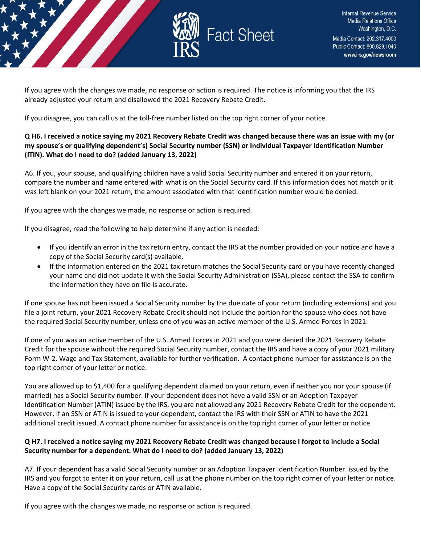

If you agree with the changes we made, no response or action is required. The notice is informing you that the IRS already adjusted your return and disallowed the 2021 Recovery Rebate Credit.

If you disagree, you can call us at the toll-free number listed on the top right corner of your notice.

## **Q H6. I received a notice saying my 2021 Recovery Rebate Credit was changed because there was an issue with my (or my spouse's or qualifying dependent's) Social Security number (SSN) or Individual Taxpayer Identification Number (ITIN). What do I need to do? (added January 13, 2022)**

A6. If you, your spouse, and qualifying children have a valid Social Security number and entered it on your return, compare the number and name entered with what is on the Social Security card. If this information does not match or it was left blank on your 2021 return, the amount associated with that identification number would be denied.

If you agree with the changes we made, no response or action is required.

If you disagree, read the following to help determine if any action is needed:

- If you identify an error in the tax return entry, contact the IRS at the number provided on your notice and have a copy of the Social Security card(s) available.
- If the information entered on the 2021 tax return matches the Social Security card or you have recently changed your name and did not update it with the Social Security Administration (SSA), please contact the SSA to confirm the information they have on file is accurate.

If one spouse has not been issued a Social Security number by the due date of your return (including extensions) and you file a joint return, your 2021 Recovery Rebate Credit should not include the portion for the spouse who does not have the required Social Security number, unless one of you was an active member of the U.S. Armed Forces in 2021.

If one of you was an active member of the U.S. Armed Forces in 2021 and you were denied the 2021 Recovery Rebate Credit for the spouse without the required Social Security number, contact the IRS and have a copy of your 2021 military Form W-2, Wage and Tax Statement, available for further verification. A contact phone number for assistance is on the top right corner of your letter or notice.

You are allowed up to \$1,400 for a qualifying dependent claimed on your return, even if neither you nor your spouse (if married) has a Social Security number. If your dependent does not have a valid SSN or an Adoption Taxpayer Identification Number (ATIN) issued by the IRS, you are not allowed any 2021 Recovery Rebate Credit for the dependent. However, if an SSN or ATIN is issued to your dependent, contact the IRS with their SSN or ATIN to have the 2021 additional credit issued. A contact phone number for assistance is on the top right corner of your letter or notice.

## **Q H7. I received a notice saying my 2021 Recovery Rebate Credit was changed because I forgot to include a Social Security number for a dependent. What do I need to do? (added January 13, 2022)**

A7. If your dependent has a valid Social Security number or an Adoption Taxpayer Identification Number issued by the IRS and you forgot to enter it on your return, call us at the phone number on the top right corner of your letter or notice. Have a copy of the Social Security cards or ATIN available.

If you agree with the changes we made, no response or action is required.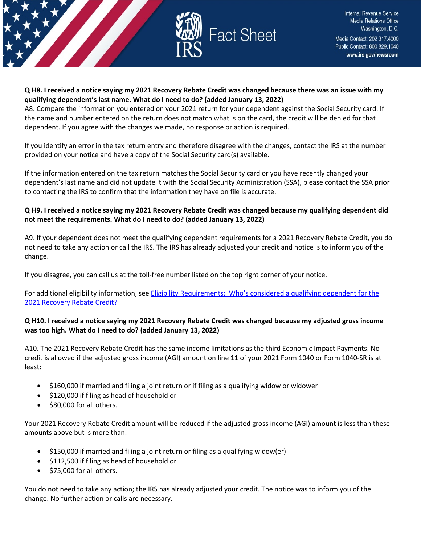

### **Q H8. I received a notice saying my 2021 Recovery Rebate Credit was changed because there was an issue with my qualifying dependent's last name. What do I need to do? (added January 13, 2022)**

A8. Compare the information you entered on your 2021 return for your dependent against the Social Security card. If the name and number entered on the return does not match what is on the card, the credit will be denied for that dependent. If you agree with the changes we made, no response or action is required.

If you identify an error in the tax return entry and therefore disagree with the changes, contact the IRS at the number provided on your notice and have a copy of the Social Security card(s) available.

If the information entered on the tax return matches the Social Security card or you have recently changed your dependent's last name and did not update it with the Social Security Administration (SSA), please contact the SSA prior to contacting the IRS to confirm that the information they have on file is accurate.

## **Q H9. I received a notice saying my 2021 Recovery Rebate Credit was changed because my qualifying dependent did not meet the requirements. What do I need to do? (added January 13, 2022)**

A9. If your dependent does not meet the qualifying dependent requirements for a 2021 Recovery Rebate Credit, you do not need to take any action or call the IRS. The IRS has already adjusted your credit and notice is to inform you of the change.

If you disagree, you can call us at the toll-free number listed on the top right corner of your notice.

For additional eligibility information, see [Eligibility Requirements: Who's considered a qualifying dependent for the](https://www.irs.gov/newsroom/2021-recovery-rebate-credit-topic-c-eligibility-for-claiming-a-recovery-rebate-credit-on-a-2021-tax-return#q7)  [2021 Recovery Rebate Credit?](https://www.irs.gov/newsroom/2021-recovery-rebate-credit-topic-c-eligibility-for-claiming-a-recovery-rebate-credit-on-a-2021-tax-return#q7) 

## **Q H10. I received a notice saying my 2021 Recovery Rebate Credit was changed because my adjusted gross income was too high. What do I need to do? (added January 13, 2022)**

A10. The 2021 Recovery Rebate Credit has the same income limitations as the third Economic Impact Payments. No credit is allowed if the adjusted gross income (AGI) amount on line 11 of your 2021 Form 1040 or Form 1040-SR is at least:

- \$160,000 if married and filing a joint return or if filing as a qualifying widow or widower
- \$120,000 if filing as head of household or
- \$80,000 for all others.

Your 2021 Recovery Rebate Credit amount will be reduced if the adjusted gross income (AGI) amount is less than these amounts above but is more than:

- \$150,000 if married and filing a joint return or filing as a qualifying widow(er)
- \$112,500 if filing as head of household or
- \$75,000 for all others.

You do not need to take any action; the IRS has already adjusted your credit. The notice was to inform you of the change. No further action or calls are necessary.